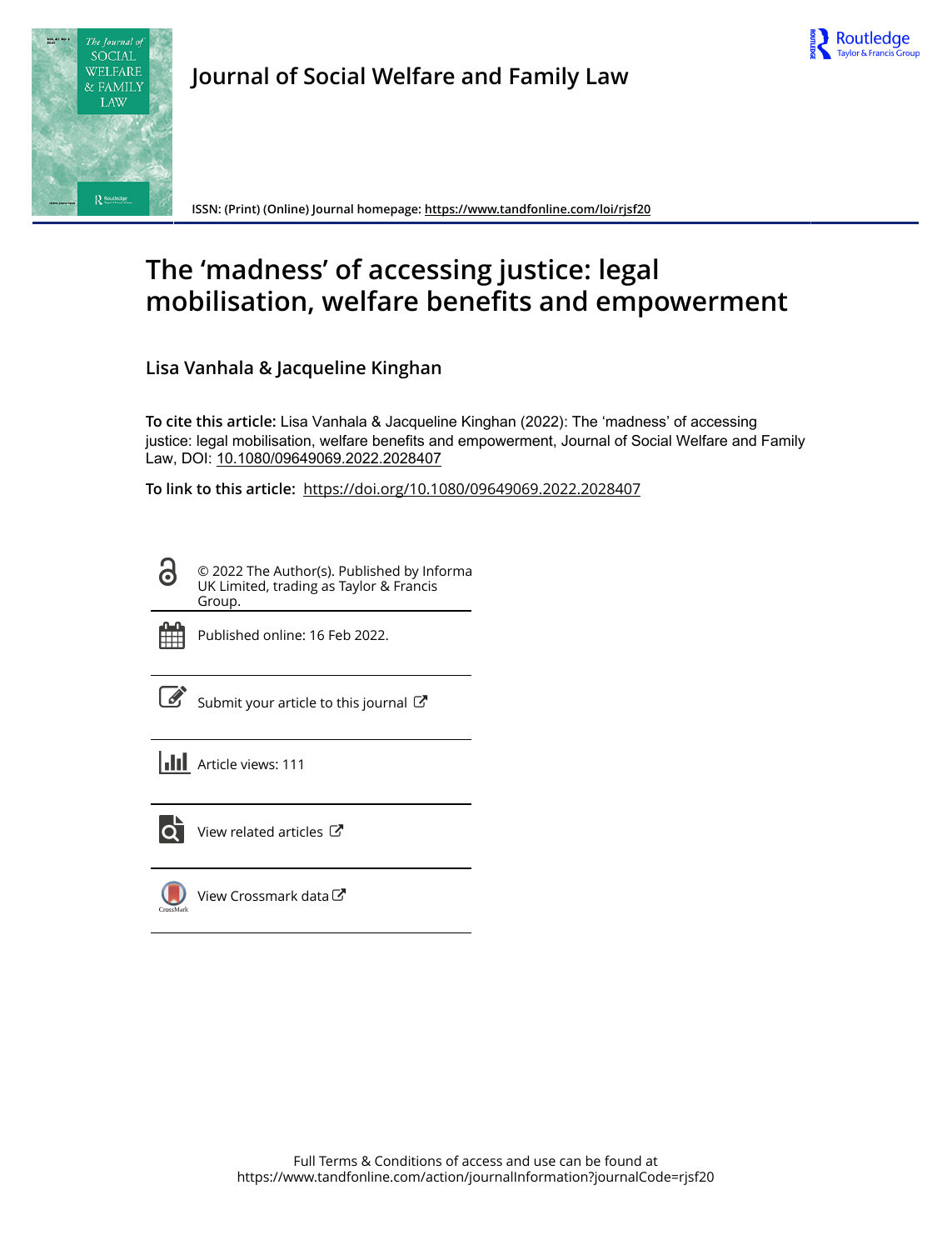



**Journal of Social Welfare and Family Law**

**ISSN: (Print) (Online) Journal homepage:<https://www.tandfonline.com/loi/rjsf20>**

# **The 'madness' of accessing justice: legal mobilisation, welfare benefits and empowerment**

**Lisa Vanhala & Jacqueline Kinghan**

**To cite this article:** Lisa Vanhala & Jacqueline Kinghan (2022): The 'madness' of accessing justice: legal mobilisation, welfare benefits and empowerment, Journal of Social Welfare and Family Law, DOI: [10.1080/09649069.2022.2028407](https://www.tandfonline.com/action/showCitFormats?doi=10.1080/09649069.2022.2028407)

**To link to this article:** <https://doi.org/10.1080/09649069.2022.2028407>

© 2022 The Author(s). Published by Informa UK Limited, trading as Taylor & Francis Group.



ര

Published online: 16 Feb 2022.

[Submit your article to this journal](https://www.tandfonline.com/action/authorSubmission?journalCode=rjsf20&show=instructions)  $\mathbb{Z}$ 

**Article views: 111** 



 $\overline{Q}$  [View related articles](https://www.tandfonline.com/doi/mlt/10.1080/09649069.2022.2028407)  $\overline{C}$ 

[View Crossmark data](http://crossmark.crossref.org/dialog/?doi=10.1080/09649069.2022.2028407&domain=pdf&date_stamp=2022-02-16) $\mathbb{Z}$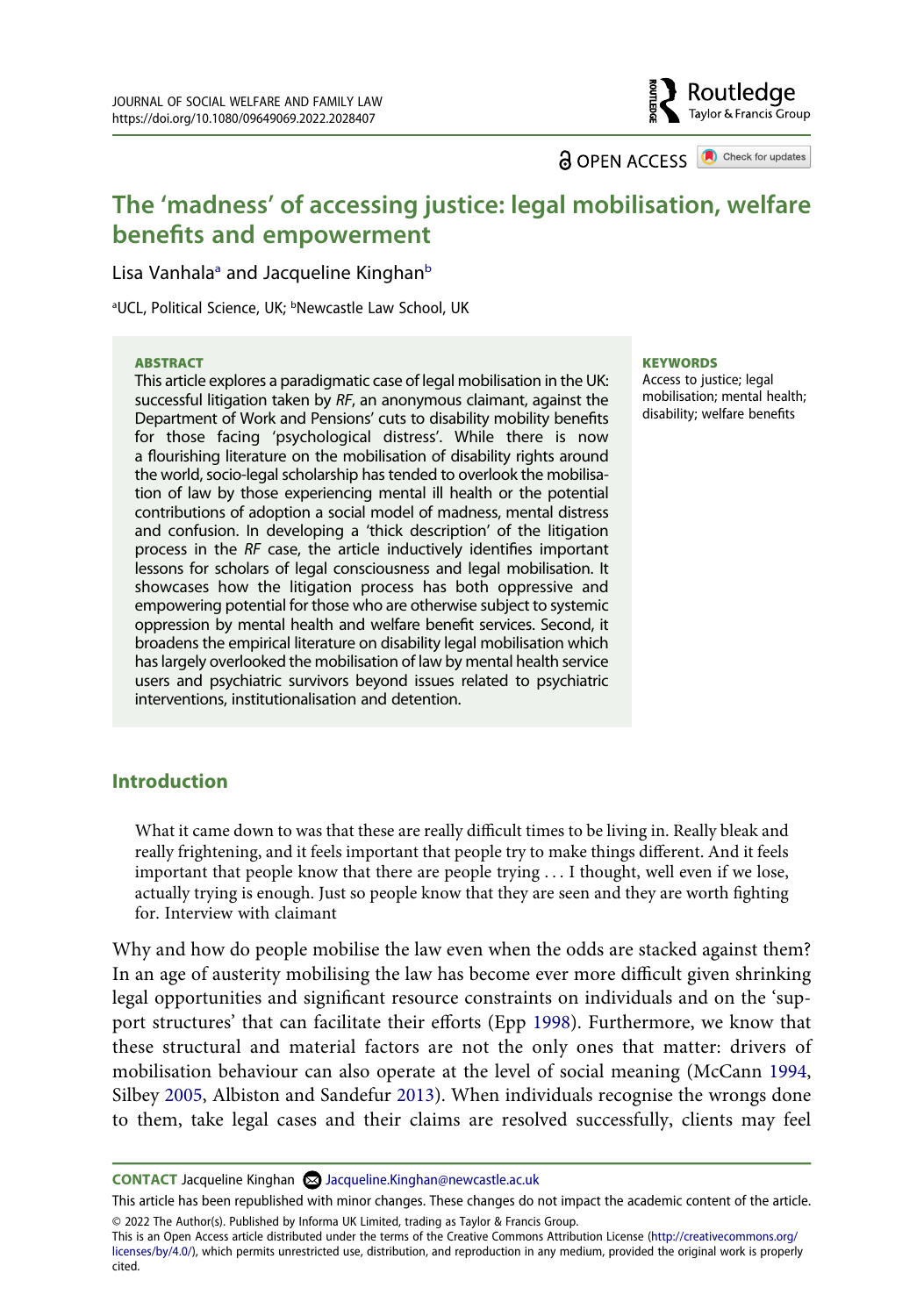**a** OPEN ACCESS **a** Check for updates

Routledge Taylor & Francis Group

# **The 'madness' of accessing justice: legal mobilisation, welfare benefits and empowerment**

Lis[a](#page-1-0) Vanhala<sup>a</sup> and Jacqueline Kinghan<sup>[b](#page-1-0)</sup>

<span id="page-1-0"></span><sup>a</sup>UCL, Political Science, UK; <sup>b</sup>Newcastle Law School, UK

### **ABSTRACT**

This article explores a paradigmatic case of legal mobilisation in the UK: successful litigation taken by *RF*, an anonymous claimant, against the Department of Work and Pensions' cuts to disability mobility benefits for those facing 'psychological distress'. While there is now a flourishing literature on the mobilisation of disability rights around the world, socio-legal scholarship has tended to overlook the mobilisation of law by those experiencing mental ill health or the potential contributions of adoption a social model of madness, mental distress and confusion. In developing a 'thick description' of the litigation process in the *RF* case, the article inductively identifies important lessons for scholars of legal consciousness and legal mobilisation. It showcases how the litigation process has both oppressive and empowering potential for those who are otherwise subject to systemic oppression by mental health and welfare benefit services. Second, it broadens the empirical literature on disability legal mobilisation which has largely overlooked the mobilisation of law by mental health service users and psychiatric survivors beyond issues related to psychiatric interventions, institutionalisation and detention.

#### **KEYWORDS**

Access to justice; legal mobilisation; mental health; disability; welfare benefits

## **Introduction**

What it came down to was that these are really difficult times to be living in. Really bleak and really frightening, and it feels important that people try to make things different. And it feels important that people know that there are people trying . . . I thought, well even if we lose, actually trying is enough. Just so people know that they are seen and they are worth fighting for. Interview with claimant

<span id="page-1-3"></span><span id="page-1-2"></span>Why and how do people mobilise the law even when the odds are stacked against them? In an age of austerity mobilising the law has become ever more difficult given shrinking legal opportunities and significant resource constraints on individuals and on the 'support structures' that can facilitate their efforts (Epp [1998\)](#page-19-0). Furthermore, we know that these structural and material factors are not the only ones that matter: drivers of mobilisation behaviour can also operate at the level of social meaning (McCann [1994,](#page-19-1) Silbey [2005](#page-20-0), Albiston and Sandefur [2013](#page-18-0)). When individuals recognise the wrongs done to them, take legal cases and their claims are resolved successfully, clients may feel

<span id="page-1-1"></span>**CONTACT** Jacqueline Kinghan Jacqueline.Kinghan@newcastle.ac.uk

This article has been republished with minor changes. These changes do not impact the academic content of the article.

© 2022 The Author(s). Published by Informa UK Limited, trading as Taylor & Francis Group.

This is an Open Access article distributed under the terms of the Creative Commons Attribution License (http://creativecommons.org/ licenses/by/4.0/), which permits unrestricted use, distribution, and reproduction in any medium, provided the original work is properly cited.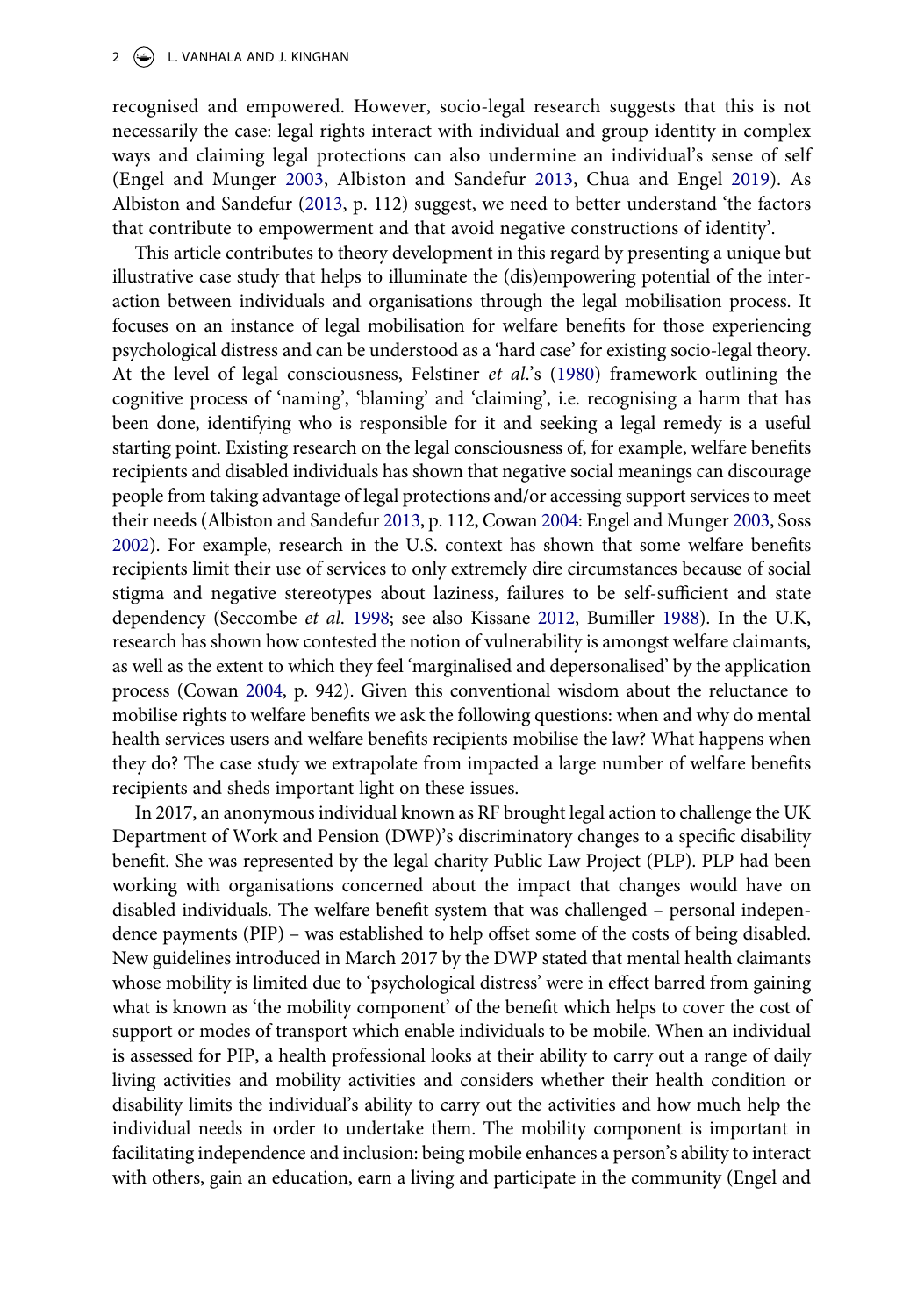<span id="page-2-1"></span>recognised and empowered. However, socio-legal research suggests that this is not necessarily the case: legal rights interact with individual and group identity in complex ways and claiming legal protections can also undermine an individual's sense of self (Engel and Munger [2003,](#page-18-1) Albiston and Sandefur [2013](#page-18-0), Chua and Engel [2019](#page-18-2)). As Albiston and Sandefur ([2013](#page-18-0), p. 112) suggest, we need to better understand 'the factors that contribute to empowerment and that avoid negative constructions of identity'.

<span id="page-2-5"></span><span id="page-2-4"></span>This article contributes to theory development in this regard by presenting a unique but illustrative case study that helps to illuminate the (dis)empowering potential of the interaction between individuals and organisations through the legal mobilisation process. It focuses on an instance of legal mobilisation for welfare benefits for those experiencing psychological distress and can be understood as a 'hard case' for existing socio-legal theory. At the level of legal consciousness, Felstiner *et al*.'s [\(1980](#page-19-2)) framework outlining the cognitive process of 'naming', 'blaming' and 'claiming', i.e. recognising a harm that has been done, identifying who is responsible for it and seeking a legal remedy is a useful starting point. Existing research on the legal consciousness of, for example, welfare benefits recipients and disabled individuals has shown that negative social meanings can discourage people from taking advantage of legal protections and/or accessing support services to meet their needs (Albiston and Sandefur [2013,](#page-18-0) p. 112, Cowan [2004:](#page-18-3) Engel and Munger [2003](#page-18-1), Soss [2002\)](#page-20-1). For example, research in the U.S. context has shown that some welfare benefits recipients limit their use of services to only extremely dire circumstances because of social stigma and negative stereotypes about laziness, failures to be self-sufficient and state dependency (Seccombe *et al*. [1998](#page-20-2); see also Kissane [2012,](#page-19-3) Bumiller [1988](#page-18-4)). In the U.K, research has shown how contested the notion of vulnerability is amongst welfare claimants, as well as the extent to which they feel 'marginalised and depersonalised' by the application process (Cowan [2004,](#page-18-3) p. 942). Given this conventional wisdom about the reluctance to mobilise rights to welfare benefits we ask the following questions: when and why do mental health services users and welfare benefits recipients mobilise the law? What happens when they do? The case study we extrapolate from impacted a large number of welfare benefits recipients and sheds important light on these issues.

<span id="page-2-3"></span><span id="page-2-2"></span><span id="page-2-0"></span>In 2017, an anonymous individual known as RF brought legal action to challenge the UK Department of Work and Pension (DWP)'s discriminatory changes to a specific disability benefit. She was represented by the legal charity Public Law Project (PLP). PLP had been working with organisations concerned about the impact that changes would have on disabled individuals. The welfare benefit system that was challenged – personal independence payments (PIP) – was established to help offset some of the costs of being disabled. New guidelines introduced in March 2017 by the DWP stated that mental health claimants whose mobility is limited due to 'psychological distress' were in effect barred from gaining what is known as 'the mobility component' of the benefit which helps to cover the cost of support or modes of transport which enable individuals to be mobile. When an individual is assessed for PIP, a health professional looks at their ability to carry out a range of daily living activities and mobility activities and considers whether their health condition or disability limits the individual's ability to carry out the activities and how much help the individual needs in order to undertake them. The mobility component is important in facilitating independence and inclusion: being mobile enhances a person's ability to interact with others, gain an education, earn a living and participate in the community (Engel and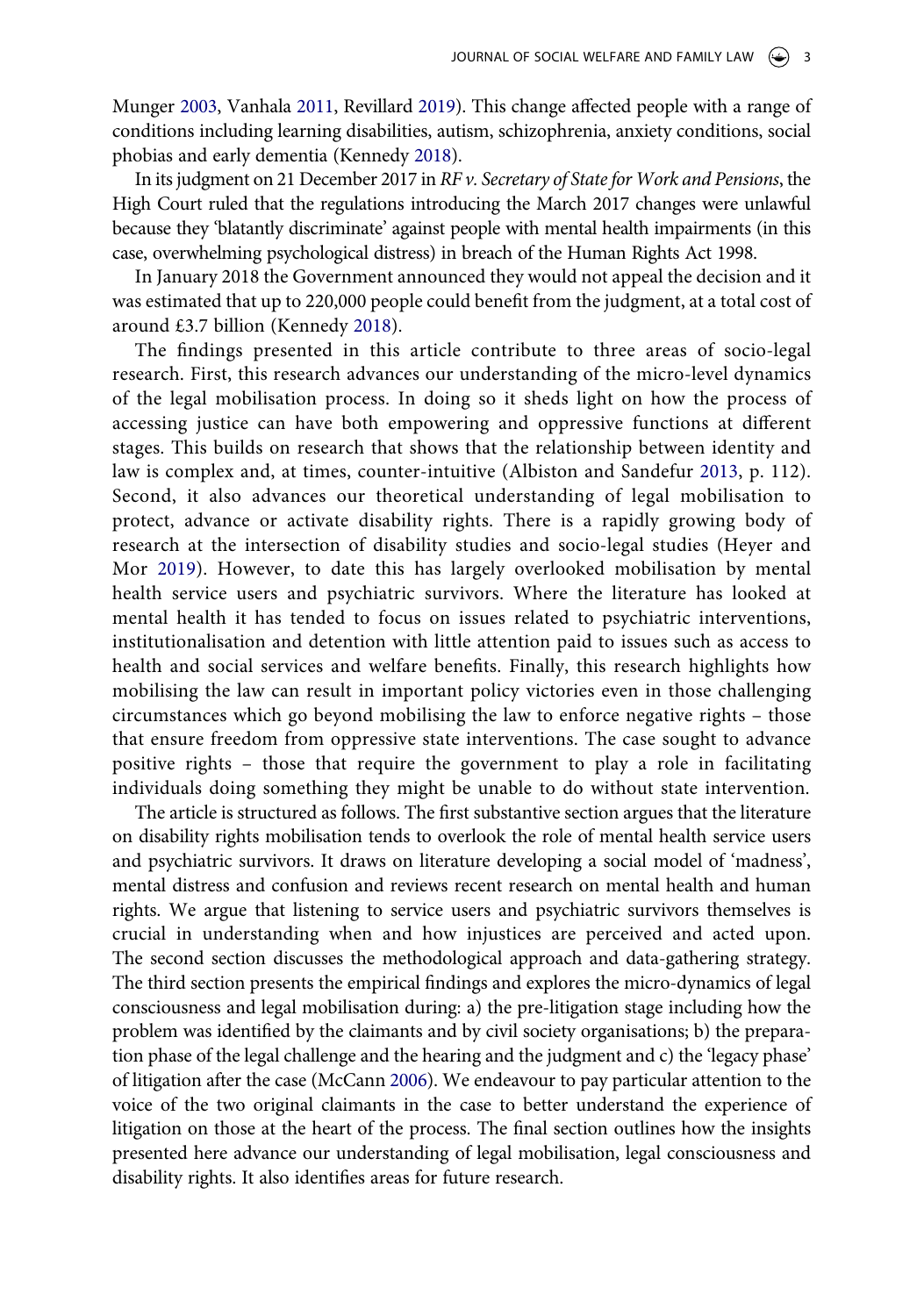<span id="page-3-3"></span>Munger [2003,](#page-18-1) Vanhala [2011](#page-20-3), Revillard [2019](#page-20-4)). This change affected people with a range of conditions including learning disabilities, autism, schizophrenia, anxiety conditions, social phobias and early dementia (Kennedy [2018](#page-19-4)).

In its judgment on 21 December 2017 in *RF v. Secretary of State for Work and Pensions*, the High Court ruled that the regulations introducing the March 2017 changes were unlawful because they 'blatantly discriminate' against people with mental health impairments (in this case, overwhelming psychological distress) in breach of the Human Rights Act 1998.

In January 2018 the Government announced they would not appeal the decision and it was estimated that up to 220,000 people could benefit from the judgment, at a total cost of around £3.7 billion (Kennedy [2018](#page-19-4)).

<span id="page-3-1"></span><span id="page-3-0"></span>The findings presented in this article contribute to three areas of socio-legal research. First, this research advances our understanding of the micro-level dynamics of the legal mobilisation process. In doing so it sheds light on how the process of accessing justice can have both empowering and oppressive functions at different stages. This builds on research that shows that the relationship between identity and law is complex and, at times, counter-intuitive (Albiston and Sandefur [2013](#page-18-0), p. 112). Second, it also advances our theoretical understanding of legal mobilisation to protect, advance or activate disability rights. There is a rapidly growing body of research at the intersection of disability studies and socio-legal studies (Heyer and Mor [2019\)](#page-19-5). However, to date this has largely overlooked mobilisation by mental health service users and psychiatric survivors. Where the literature has looked at mental health it has tended to focus on issues related to psychiatric interventions, institutionalisation and detention with little attention paid to issues such as access to health and social services and welfare benefits. Finally, this research highlights how mobilising the law can result in important policy victories even in those challenging circumstances which go beyond mobilising the law to enforce negative rights – those that ensure freedom from oppressive state interventions. The case sought to advance positive rights – those that require the government to play a role in facilitating individuals doing something they might be unable to do without state intervention.

<span id="page-3-2"></span>The article is structured as follows. The first substantive section argues that the literature on disability rights mobilisation tends to overlook the role of mental health service users and psychiatric survivors. It draws on literature developing a social model of 'madness', mental distress and confusion and reviews recent research on mental health and human rights. We argue that listening to service users and psychiatric survivors themselves is crucial in understanding when and how injustices are perceived and acted upon. The second section discusses the methodological approach and data-gathering strategy. The third section presents the empirical findings and explores the micro-dynamics of legal consciousness and legal mobilisation during: a) the pre-litigation stage including how the problem was identified by the claimants and by civil society organisations; b) the preparation phase of the legal challenge and the hearing and the judgment and c) the 'legacy phase' of litigation after the case (McCann [2006](#page-19-6)). We endeavour to pay particular attention to the voice of the two original claimants in the case to better understand the experience of litigation on those at the heart of the process. The final section outlines how the insights presented here advance our understanding of legal mobilisation, legal consciousness and disability rights. It also identifies areas for future research.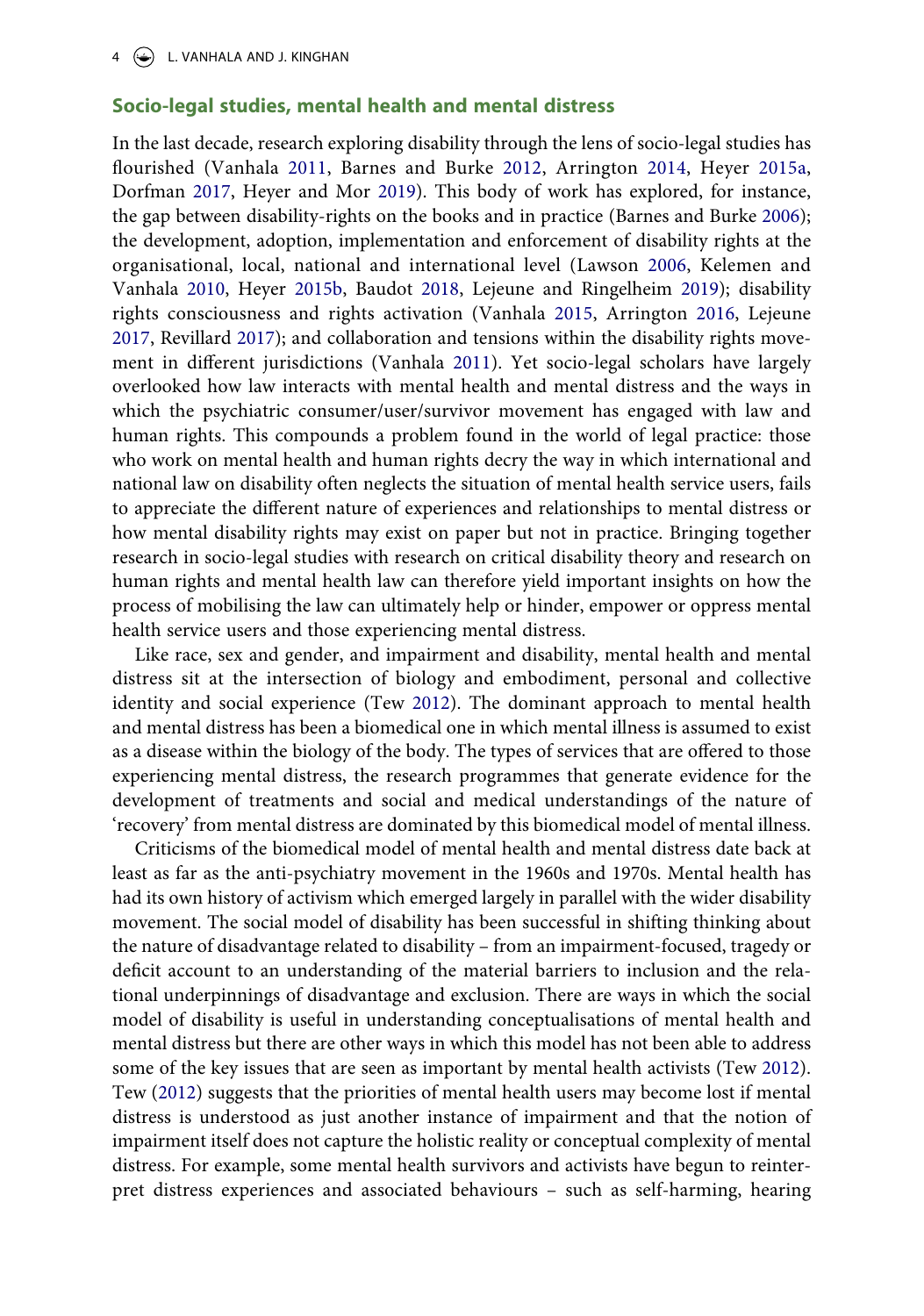## **Socio-legal studies, mental health and mental distress**

<span id="page-4-6"></span><span id="page-4-5"></span><span id="page-4-4"></span><span id="page-4-3"></span><span id="page-4-2"></span><span id="page-4-1"></span><span id="page-4-0"></span>In the last decade, research exploring disability through the lens of socio-legal studies has flourished (Vanhala [2011,](#page-20-3) Barnes and Burke [2012](#page-18-5), Arrington [2014,](#page-18-6) Heyer [2015a,](#page-19-7) Dorfman [2017](#page-18-7), Heyer and Mor [2019](#page-19-5)). This body of work has explored, for instance, the gap between disability-rights on the books and in practice (Barnes and Burke [2006](#page-18-8)); the development, adoption, implementation and enforcement of disability rights at the organisational, local, national and international level (Lawson [2006,](#page-19-8) Kelemen and Vanhala [2010](#page-19-9), Heyer [2015b,](#page-19-10) Baudot [2018](#page-18-9), Lejeune and Ringelheim [2019\)](#page-19-11); disability rights consciousness and rights activation (Vanhala [2015,](#page-20-5) Arrington [2016](#page-18-10), Lejeune [2017](#page-19-12), Revillard [2017\)](#page-20-6); and collaboration and tensions within the disability rights movement in different jurisdictions (Vanhala [2011](#page-20-3)). Yet socio-legal scholars have largely overlooked how law interacts with mental health and mental distress and the ways in which the psychiatric consumer/user/survivor movement has engaged with law and human rights. This compounds a problem found in the world of legal practice: those who work on mental health and human rights decry the way in which international and national law on disability often neglects the situation of mental health service users, fails to appreciate the different nature of experiences and relationships to mental distress or how mental disability rights may exist on paper but not in practice. Bringing together research in socio-legal studies with research on critical disability theory and research on human rights and mental health law can therefore yield important insights on how the process of mobilising the law can ultimately help or hinder, empower or oppress mental health service users and those experiencing mental distress.

Like race, sex and gender, and impairment and disability, mental health and mental distress sit at the intersection of biology and embodiment, personal and collective identity and social experience (Tew [2012](#page-20-7)). The dominant approach to mental health and mental distress has been a biomedical one in which mental illness is assumed to exist as a disease within the biology of the body. The types of services that are offered to those experiencing mental distress, the research programmes that generate evidence for the development of treatments and social and medical understandings of the nature of 'recovery' from mental distress are dominated by this biomedical model of mental illness.

<span id="page-4-7"></span>Criticisms of the biomedical model of mental health and mental distress date back at least as far as the anti-psychiatry movement in the 1960s and 1970s. Mental health has had its own history of activism which emerged largely in parallel with the wider disability movement. The social model of disability has been successful in shifting thinking about the nature of disadvantage related to disability – from an impairment-focused, tragedy or deficit account to an understanding of the material barriers to inclusion and the relational underpinnings of disadvantage and exclusion. There are ways in which the social model of disability is useful in understanding conceptualisations of mental health and mental distress but there are other ways in which this model has not been able to address some of the key issues that are seen as important by mental health activists (Tew [2012](#page-20-7)). Tew [\(2012\)](#page-20-7) suggests that the priorities of mental health users may become lost if mental distress is understood as just another instance of impairment and that the notion of impairment itself does not capture the holistic reality or conceptual complexity of mental distress. For example, some mental health survivors and activists have begun to reinterpret distress experiences and associated behaviours – such as self-harming, hearing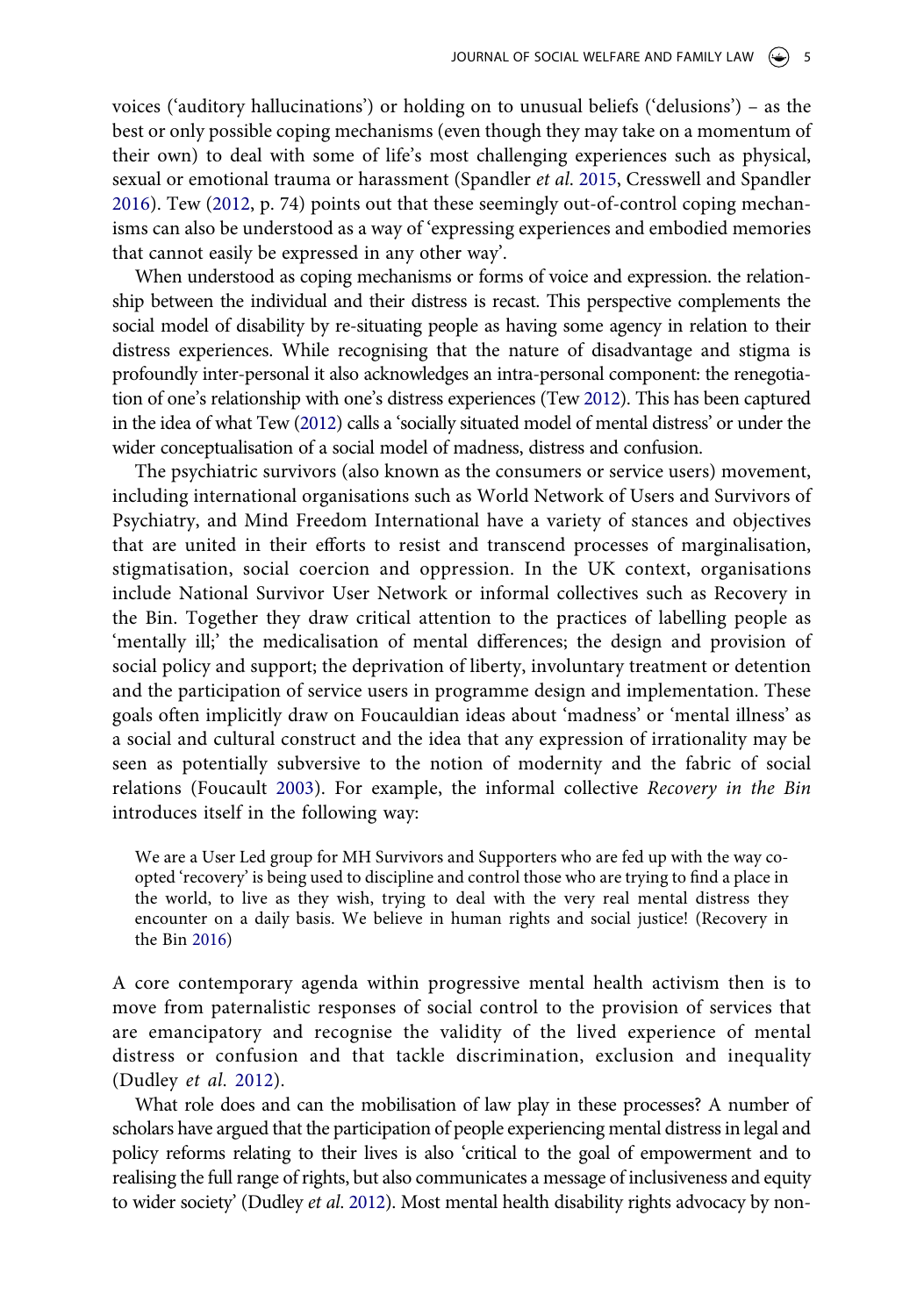<span id="page-5-0"></span>voices ('auditory hallucinations') or holding on to unusual beliefs ('delusions') – as the best or only possible coping mechanisms (even though they may take on a momentum of their own) to deal with some of life's most challenging experiences such as physical, sexual or emotional trauma or harassment (Spandler *et al*. [2015](#page-20-8), Cresswell and Spandler [2016](#page-18-11)). Tew [\(2012,](#page-20-7) p. 74) points out that these seemingly out-of-control coping mechanisms can also be understood as a way of 'expressing experiences and embodied memories that cannot easily be expressed in any other way'.

When understood as coping mechanisms or forms of voice and expression. the relationship between the individual and their distress is recast. This perspective complements the social model of disability by re-situating people as having some agency in relation to their distress experiences. While recognising that the nature of disadvantage and stigma is profoundly inter-personal it also acknowledges an intra-personal component: the renegotiation of one's relationship with one's distress experiences (Tew [2012](#page-20-7)). This has been captured in the idea of what Tew [\(2012\)](#page-20-7) calls a 'socially situated model of mental distress' or under the wider conceptualisation of a social model of madness, distress and confusion.

The psychiatric survivors (also known as the consumers or service users) movement, including international organisations such as World Network of Users and Survivors of Psychiatry, and Mind Freedom International have a variety of stances and objectives that are united in their efforts to resist and transcend processes of marginalisation, stigmatisation, social coercion and oppression. In the UK context, organisations include National Survivor User Network or informal collectives such as Recovery in the Bin. Together they draw critical attention to the practices of labelling people as 'mentally ill;' the medicalisation of mental differences; the design and provision of social policy and support; the deprivation of liberty, involuntary treatment or detention and the participation of service users in programme design and implementation. These goals often implicitly draw on Foucauldian ideas about 'madness' or 'mental illness' as a social and cultural construct and the idea that any expression of irrationality may be seen as potentially subversive to the notion of modernity and the fabric of social relations (Foucault [2003\)](#page-19-13). For example, the informal collective *Recovery in the Bin*  introduces itself in the following way:

<span id="page-5-2"></span>We are a User Led group for MH Survivors and Supporters who are fed up with the way coopted 'recovery' is being used to discipline and control those who are trying to find a place in the world, to live as they wish, trying to deal with the very real mental distress they encounter on a daily basis. We believe in human rights and social justice! (Recovery in the Bin [2016\)](#page-20-9)

<span id="page-5-3"></span>A core contemporary agenda within progressive mental health activism then is to move from paternalistic responses of social control to the provision of services that are emancipatory and recognise the validity of the lived experience of mental distress or confusion and that tackle discrimination, exclusion and inequality (Dudley *et al*. [2012](#page-18-12)).

<span id="page-5-1"></span>What role does and can the mobilisation of law play in these processes? A number of scholars have argued that the participation of people experiencing mental distress in legal and policy reforms relating to their lives is also 'critical to the goal of empowerment and to realising the full range of rights, but also communicates a message of inclusiveness and equity to wider society' (Dudley *et al*. [2012\)](#page-18-12). Most mental health disability rights advocacy by non-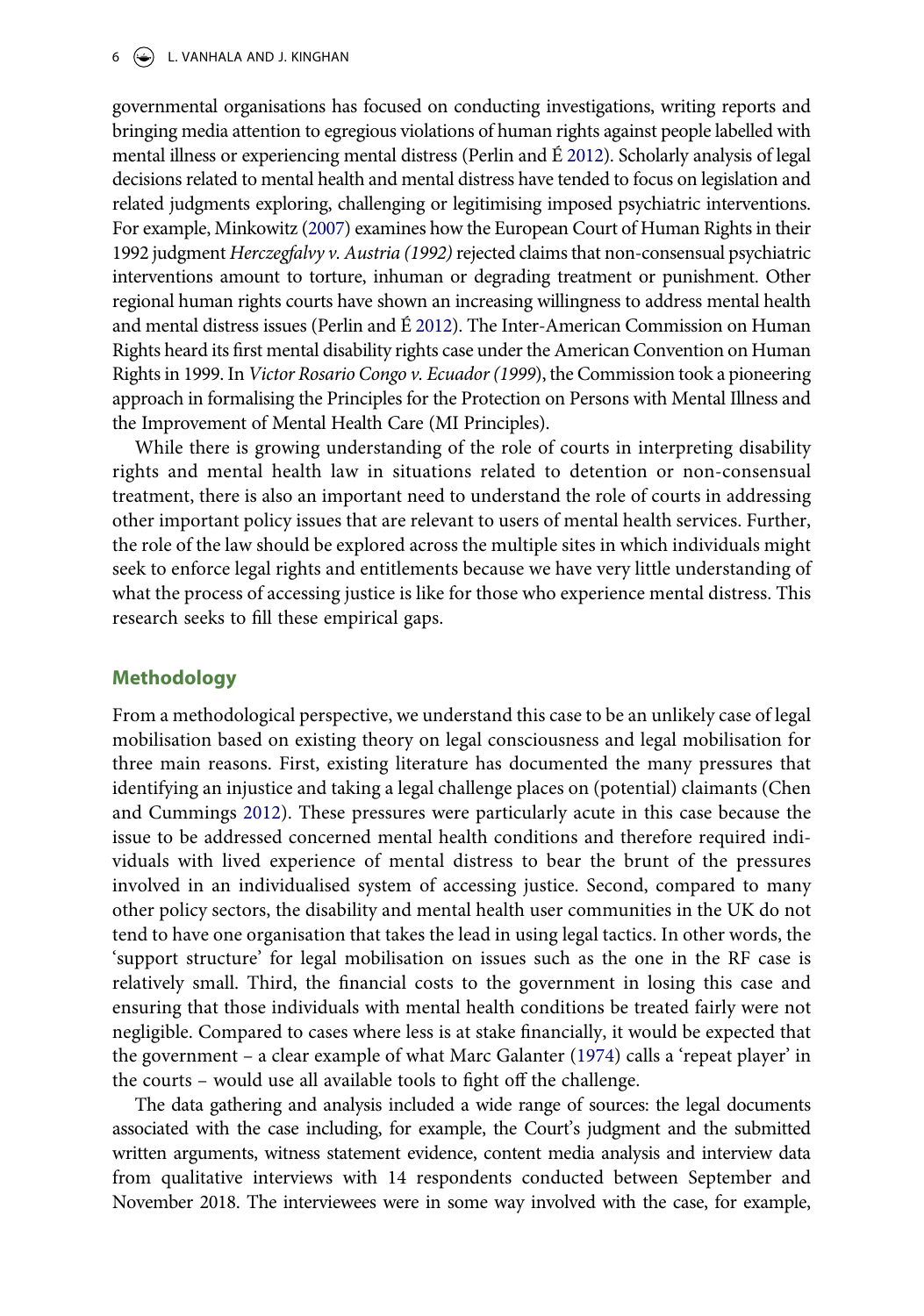## $6 \quad \circledast$  L. VANHALA AND J. KINGHAN

<span id="page-6-2"></span>governmental organisations has focused on conducting investigations, writing reports and bringing media attention to egregious violations of human rights against people labelled with mental illness or experiencing mental distress (Perlin and É [2012](#page-19-14)). Scholarly analysis of legal decisions related to mental health and mental distress have tended to focus on legislation and related judgments exploring, challenging or legitimising imposed psychiatric interventions. For example, Minkowitz ([2007\)](#page-19-15) examines how the European Court of Human Rights in their 1992 judgment *Herczegfalvy v. Austria (1992)* rejected claims that non-consensual psychiatric interventions amount to torture, inhuman or degrading treatment or punishment. Other regional human rights courts have shown an increasing willingness to address mental health and mental distress issues (Perlin and É [2012](#page-19-14)). The Inter-American Commission on Human Rights heard its first mental disability rights case under the American Convention on Human Rights in 1999. In *Victor Rosario Congo v. Ecuador (1999*), the Commission took a pioneering approach in formalising the Principles for the Protection on Persons with Mental Illness and the Improvement of Mental Health Care (MI Principles).

<span id="page-6-3"></span>While there is growing understanding of the role of courts in interpreting disability rights and mental health law in situations related to detention or non-consensual treatment, there is also an important need to understand the role of courts in addressing other important policy issues that are relevant to users of mental health services. Further, the role of the law should be explored across the multiple sites in which individuals might seek to enforce legal rights and entitlements because we have very little understanding of what the process of accessing justice is like for those who experience mental distress. This research seeks to fill these empirical gaps.

# **Methodology**

<span id="page-6-0"></span>From a methodological perspective, we understand this case to be an unlikely case of legal mobilisation based on existing theory on legal consciousness and legal mobilisation for three main reasons. First, existing literature has documented the many pressures that identifying an injustice and taking a legal challenge places on (potential) claimants (Chen and Cummings [2012](#page-18-13)). These pressures were particularly acute in this case because the issue to be addressed concerned mental health conditions and therefore required individuals with lived experience of mental distress to bear the brunt of the pressures involved in an individualised system of accessing justice. Second, compared to many other policy sectors, the disability and mental health user communities in the UK do not tend to have one organisation that takes the lead in using legal tactics. In other words, the 'support structure' for legal mobilisation on issues such as the one in the RF case is relatively small. Third, the financial costs to the government in losing this case and ensuring that those individuals with mental health conditions be treated fairly were not negligible. Compared to cases where less is at stake financially, it would be expected that the government – a clear example of what Marc Galanter [\(1974](#page-19-16)) calls a 'repeat player' in the courts – would use all available tools to fight off the challenge.

<span id="page-6-1"></span>The data gathering and analysis included a wide range of sources: the legal documents associated with the case including, for example, the Court's judgment and the submitted written arguments, witness statement evidence, content media analysis and interview data from qualitative interviews with 14 respondents conducted between September and November 2018. The interviewees were in some way involved with the case, for example,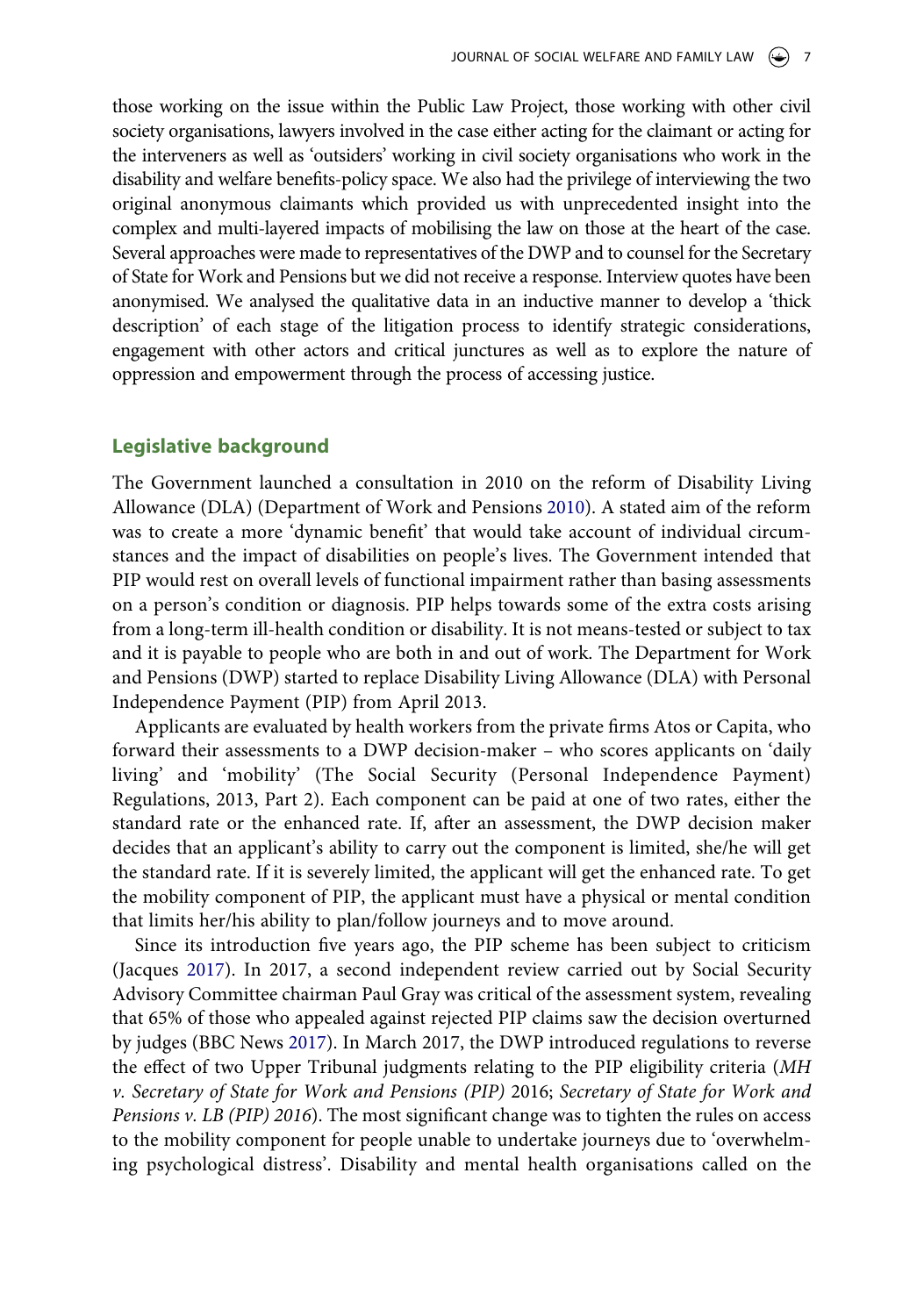those working on the issue within the Public Law Project, those working with other civil society organisations, lawyers involved in the case either acting for the claimant or acting for the interveners as well as 'outsiders' working in civil society organisations who work in the disability and welfare benefits-policy space. We also had the privilege of interviewing the two original anonymous claimants which provided us with unprecedented insight into the complex and multi-layered impacts of mobilising the law on those at the heart of the case. Several approaches were made to representatives of the DWP and to counsel for the Secretary of State for Work and Pensions but we did not receive a response. Interview quotes have been anonymised. We analysed the qualitative data in an inductive manner to develop a 'thick description' of each stage of the litigation process to identify strategic considerations, engagement with other actors and critical junctures as well as to explore the nature of oppression and empowerment through the process of accessing justice.

## **Legislative background**

<span id="page-7-1"></span>The Government launched a consultation in 2010 on the reform of Disability Living Allowance (DLA) (Department of Work and Pensions [2010](#page-18-14)). A stated aim of the reform was to create a more 'dynamic benefit' that would take account of individual circumstances and the impact of disabilities on people's lives. The Government intended that PIP would rest on overall levels of functional impairment rather than basing assessments on a person's condition or diagnosis. PIP helps towards some of the extra costs arising from a long-term ill-health condition or disability. It is not means-tested or subject to tax and it is payable to people who are both in and out of work. The Department for Work and Pensions (DWP) started to replace Disability Living Allowance (DLA) with Personal Independence Payment (PIP) from April 2013.

Applicants are evaluated by health workers from the private firms Atos or Capita, who forward their assessments to a DWP decision-maker – who scores applicants on 'daily living' and 'mobility' (The Social Security (Personal Independence Payment) Regulations, 2013, Part 2). Each component can be paid at one of two rates, either the standard rate or the enhanced rate. If, after an assessment, the DWP decision maker decides that an applicant's ability to carry out the component is limited, she/he will get the standard rate. If it is severely limited, the applicant will get the enhanced rate. To get the mobility component of PIP, the applicant must have a physical or mental condition that limits her/his ability to plan/follow journeys and to move around.

<span id="page-7-2"></span><span id="page-7-0"></span>Since its introduction five years ago, the PIP scheme has been subject to criticism (Jacques [2017\)](#page-19-17). In 2017, a second independent review carried out by Social Security Advisory Committee chairman Paul Gray was critical of the assessment system, revealing that 65% of those who appealed against rejected PIP claims saw the decision overturned by judges (BBC News [2017](#page-18-15)). In March 2017, the DWP introduced regulations to reverse the effect of two Upper Tribunal judgments relating to the PIP eligibility criteria (*MH v. Secretary of State for Work and Pensions (PIP)* 2016; *Secretary of State for Work and Pensions v. LB (PIP) 2016*). The most significant change was to tighten the rules on access to the mobility component for people unable to undertake journeys due to 'overwhelming psychological distress'. Disability and mental health organisations called on the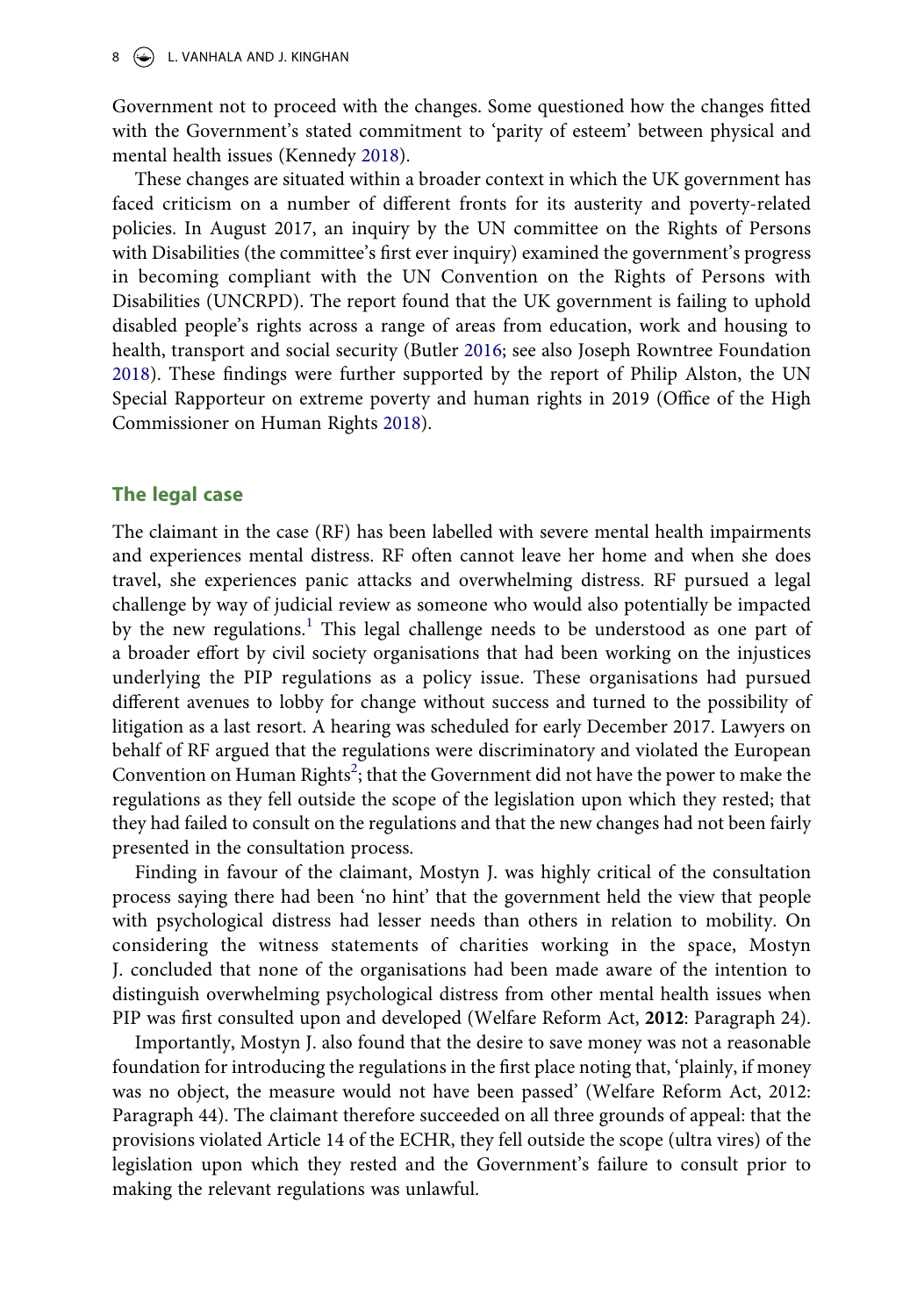$8 \quad \circledast$  L. VANHALA AND J. KINGHAN

Government not to proceed with the changes. Some questioned how the changes fitted with the Government's stated commitment to 'parity of esteem' between physical and mental health issues (Kennedy [2018](#page-19-4)).

These changes are situated within a broader context in which the UK government has faced criticism on a number of different fronts for its austerity and poverty-related policies. In August 2017, an inquiry by the UN committee on the Rights of Persons with Disabilities (the committee's first ever inquiry) examined the government's progress in becoming compliant with the UN Convention on the Rights of Persons with Disabilities (UNCRPD). The report found that the UK government is failing to uphold disabled people's rights across a range of areas from education, work and housing to health, transport and social security (Butler [2016](#page-18-16); see also Joseph Rowntree Foundation [2018](#page-19-18)). These findings were further supported by the report of Philip Alston, the UN Special Rapporteur on extreme poverty and human rights in 2019 (Office of the High Commissioner on Human Rights [2018\)](#page-19-19).

## <span id="page-8-1"></span><span id="page-8-0"></span>**The legal case**

The claimant in the case (RF) has been labelled with severe mental health impairments and experiences mental distress. RF often cannot leave her home and when she does travel, she experiences panic attacks and overwhelming distress. RF pursued a legal challenge by way of judicial review as someone who would also potentially be impacted by the new regulations.<sup>[1](#page-17-0)</sup> This legal challenge needs to be understood as one part of a broader effort by civil society organisations that had been working on the injustices underlying the PIP regulations as a policy issue. These organisations had pursued different avenues to lobby for change without success and turned to the possibility of litigation as a last resort. A hearing was scheduled for early December 2017. Lawyers on behalf of RF argued that the regulations were discriminatory and violated the European Convention on Human Rights<sup>2</sup>; that the Government did not have the power to make the regulations as they fell outside the scope of the legislation upon which they rested; that they had failed to consult on the regulations and that the new changes had not been fairly presented in the consultation process.

Finding in favour of the claimant, Mostyn J. was highly critical of the consultation process saying there had been 'no hint' that the government held the view that people with psychological distress had lesser needs than others in relation to mobility. On considering the witness statements of charities working in the space, Mostyn J. concluded that none of the organisations had been made aware of the intention to distinguish overwhelming psychological distress from other mental health issues when PIP was first consulted upon and developed (Welfare Reform Act, **2012**: Paragraph 24).

Importantly, Mostyn J. also found that the desire to save money was not a reasonable foundation for introducing the regulations in the first place noting that, 'plainly, if money was no object, the measure would not have been passed' (Welfare Reform Act, 2012: Paragraph 44). The claimant therefore succeeded on all three grounds of appeal: that the provisions violated Article 14 of the ECHR, they fell outside the scope (ultra vires) of the legislation upon which they rested and the Government's failure to consult prior to making the relevant regulations was unlawful.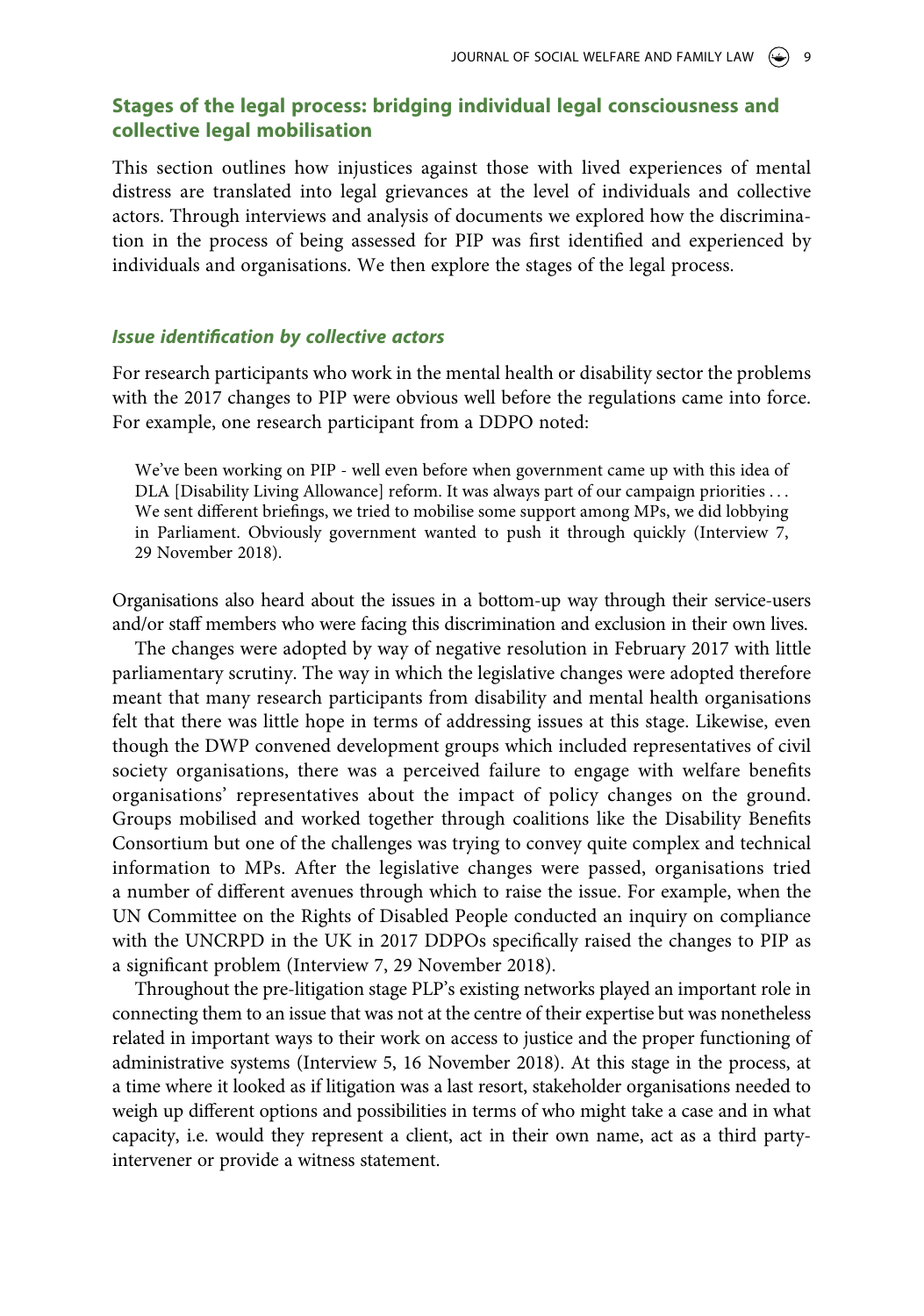# **Stages of the legal process: bridging individual legal consciousness and collective legal mobilisation**

This section outlines how injustices against those with lived experiences of mental distress are translated into legal grievances at the level of individuals and collective actors. Through interviews and analysis of documents we explored how the discrimination in the process of being assessed for PIP was first identified and experienced by individuals and organisations. We then explore the stages of the legal process.

## *Issue identification by collective actors*

For research participants who work in the mental health or disability sector the problems with the 2017 changes to PIP were obvious well before the regulations came into force. For example, one research participant from a DDPO noted:

We've been working on PIP - well even before when government came up with this idea of DLA [Disability Living Allowance] reform. It was always part of our campaign priorities . . . We sent different briefings, we tried to mobilise some support among MPs, we did lobbying in Parliament. Obviously government wanted to push it through quickly (Interview 7, 29 November 2018).

Organisations also heard about the issues in a bottom-up way through their service-users and/or staff members who were facing this discrimination and exclusion in their own lives.

The changes were adopted by way of negative resolution in February 2017 with little parliamentary scrutiny. The way in which the legislative changes were adopted therefore meant that many research participants from disability and mental health organisations felt that there was little hope in terms of addressing issues at this stage. Likewise, even though the DWP convened development groups which included representatives of civil society organisations, there was a perceived failure to engage with welfare benefits organisations' representatives about the impact of policy changes on the ground. Groups mobilised and worked together through coalitions like the Disability Benefits Consortium but one of the challenges was trying to convey quite complex and technical information to MPs. After the legislative changes were passed, organisations tried a number of different avenues through which to raise the issue. For example, when the UN Committee on the Rights of Disabled People conducted an inquiry on compliance with the UNCRPD in the UK in 2017 DDPOs specifically raised the changes to PIP as a significant problem (Interview 7, 29 November 2018).

Throughout the pre-litigation stage PLP's existing networks played an important role in connecting them to an issue that was not at the centre of their expertise but was nonetheless related in important ways to their work on access to justice and the proper functioning of administrative systems (Interview 5, 16 November 2018). At this stage in the process, at a time where it looked as if litigation was a last resort, stakeholder organisations needed to weigh up different options and possibilities in terms of who might take a case and in what capacity, i.e. would they represent a client, act in their own name, act as a third partyintervener or provide a witness statement.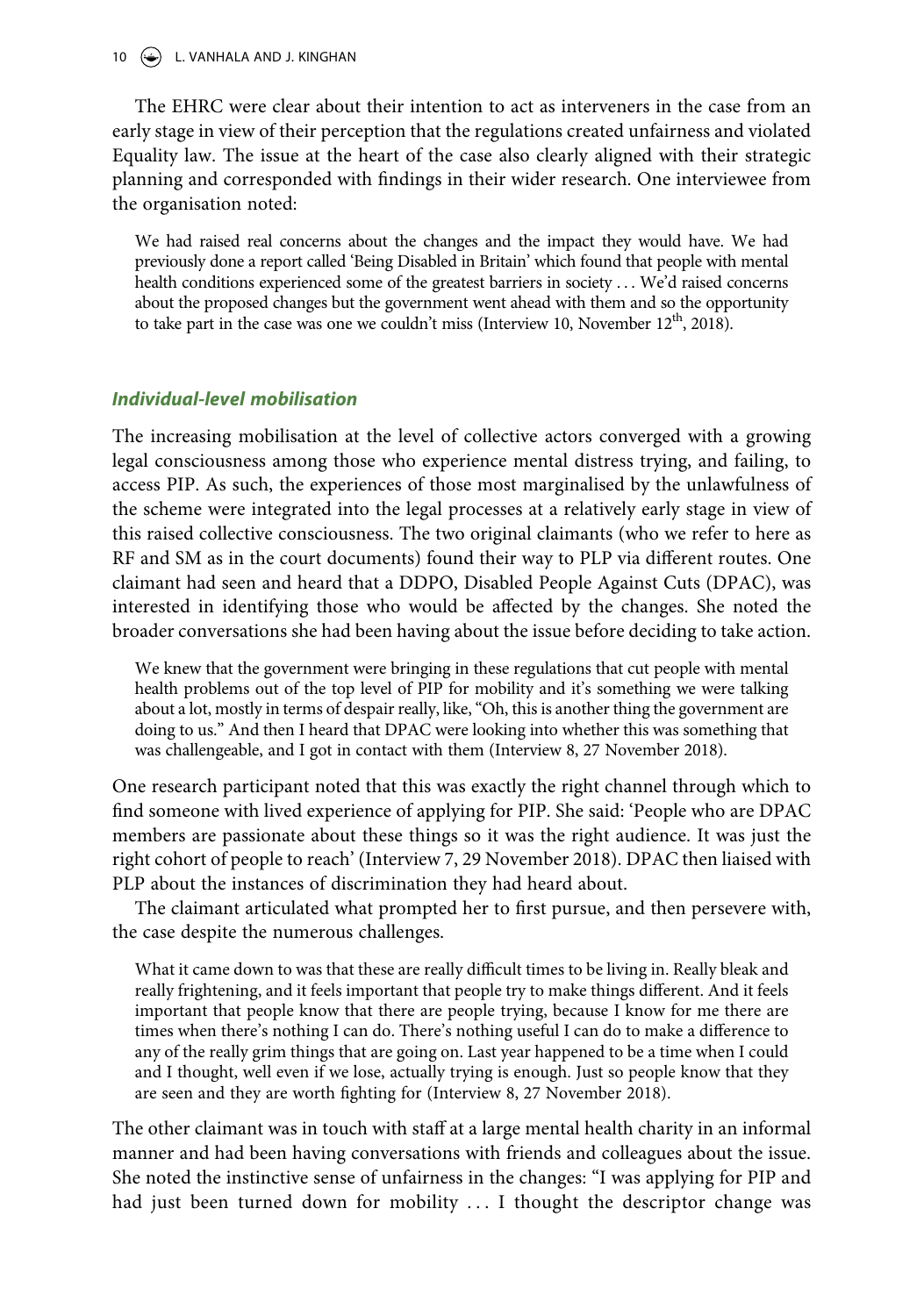10 L. VANHALA AND J. KINGHAN

The EHRC were clear about their intention to act as interveners in the case from an early stage in view of their perception that the regulations created unfairness and violated Equality law. The issue at the heart of the case also clearly aligned with their strategic planning and corresponded with findings in their wider research. One interviewee from the organisation noted:

We had raised real concerns about the changes and the impact they would have. We had previously done a report called 'Being Disabled in Britain' which found that people with mental health conditions experienced some of the greatest barriers in society . . . We'd raised concerns about the proposed changes but the government went ahead with them and so the opportunity to take part in the case was one we couldn't miss (Interview 10, November  $12<sup>th</sup>$ , 2018).

## *Individual-level mobilisation*

The increasing mobilisation at the level of collective actors converged with a growing legal consciousness among those who experience mental distress trying, and failing, to access PIP. As such, the experiences of those most marginalised by the unlawfulness of the scheme were integrated into the legal processes at a relatively early stage in view of this raised collective consciousness. The two original claimants (who we refer to here as RF and SM as in the court documents) found their way to PLP via different routes. One claimant had seen and heard that a DDPO, Disabled People Against Cuts (DPAC), was interested in identifying those who would be affected by the changes. She noted the broader conversations she had been having about the issue before deciding to take action.

We knew that the government were bringing in these regulations that cut people with mental health problems out of the top level of PIP for mobility and it's something we were talking about a lot, mostly in terms of despair really, like, "Oh, this is another thing the government are doing to us." And then I heard that DPAC were looking into whether this was something that was challengeable, and I got in contact with them (Interview 8, 27 November 2018).

One research participant noted that this was exactly the right channel through which to find someone with lived experience of applying for PIP. She said: 'People who are DPAC members are passionate about these things so it was the right audience. It was just the right cohort of people to reach' (Interview 7, 29 November 2018). DPAC then liaised with PLP about the instances of discrimination they had heard about.

The claimant articulated what prompted her to first pursue, and then persevere with, the case despite the numerous challenges.

What it came down to was that these are really difficult times to be living in. Really bleak and really frightening, and it feels important that people try to make things different. And it feels important that people know that there are people trying, because I know for me there are times when there's nothing I can do. There's nothing useful I can do to make a difference to any of the really grim things that are going on. Last year happened to be a time when I could and I thought, well even if we lose, actually trying is enough. Just so people know that they are seen and they are worth fighting for (Interview 8, 27 November 2018).

The other claimant was in touch with staff at a large mental health charity in an informal manner and had been having conversations with friends and colleagues about the issue. She noted the instinctive sense of unfairness in the changes: "I was applying for PIP and had just been turned down for mobility ... I thought the descriptor change was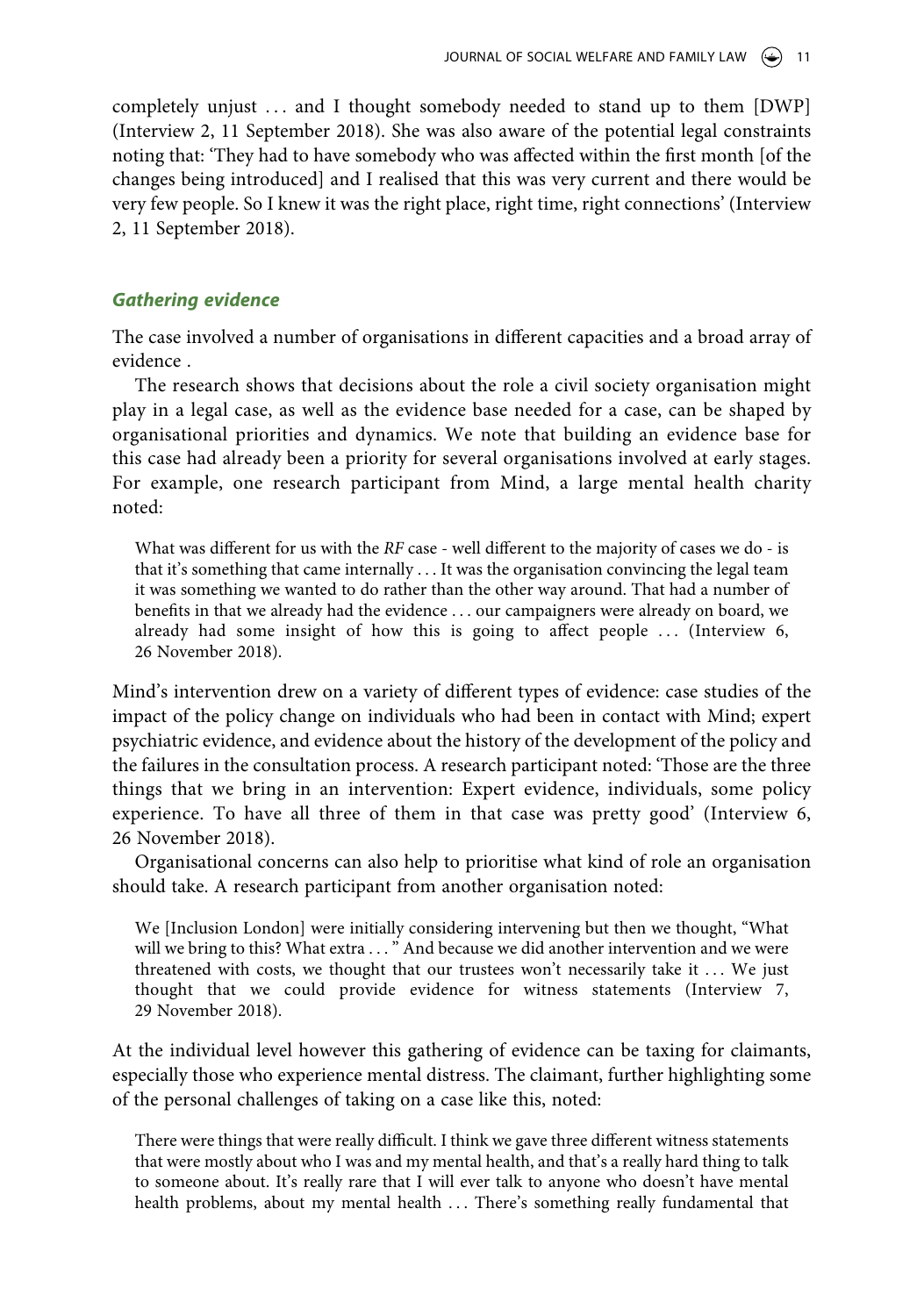completely unjust ... and I thought somebody needed to stand up to them [DWP] (Interview 2, 11 September 2018). She was also aware of the potential legal constraints noting that: 'They had to have somebody who was affected within the first month [of the changes being introduced] and I realised that this was very current and there would be very few people. So I knew it was the right place, right time, right connections' (Interview 2, 11 September 2018).

## *Gathering evidence*

The case involved a number of organisations in different capacities and a broad array of evidence .

The research shows that decisions about the role a civil society organisation might play in a legal case, as well as the evidence base needed for a case, can be shaped by organisational priorities and dynamics. We note that building an evidence base for this case had already been a priority for several organisations involved at early stages. For example, one research participant from Mind, a large mental health charity noted:

What was different for us with the *RF* case - well different to the majority of cases we do - is that it's something that came internally . . . It was the organisation convincing the legal team it was something we wanted to do rather than the other way around. That had a number of benefits in that we already had the evidence . . . our campaigners were already on board, we already had some insight of how this is going to affect people  $\ldots$  (Interview 6, 26 November 2018).

Mind's intervention drew on a variety of different types of evidence: case studies of the impact of the policy change on individuals who had been in contact with Mind; expert psychiatric evidence, and evidence about the history of the development of the policy and the failures in the consultation process. A research participant noted: 'Those are the three things that we bring in an intervention: Expert evidence, individuals, some policy experience. To have all three of them in that case was pretty good' (Interview 6, 26 November 2018).

Organisational concerns can also help to prioritise what kind of role an organisation should take. A research participant from another organisation noted:

We [Inclusion London] were initially considering intervening but then we thought, "What will we bring to this? What extra ... "And because we did another intervention and we were threatened with costs, we thought that our trustees won't necessarily take it ... We just thought that we could provide evidence for witness statements (Interview 7, 29 November 2018).

At the individual level however this gathering of evidence can be taxing for claimants, especially those who experience mental distress. The claimant, further highlighting some of the personal challenges of taking on a case like this, noted:

There were things that were really difficult. I think we gave three different witness statements that were mostly about who I was and my mental health, and that's a really hard thing to talk to someone about. It's really rare that I will ever talk to anyone who doesn't have mental health problems, about my mental health . . . There's something really fundamental that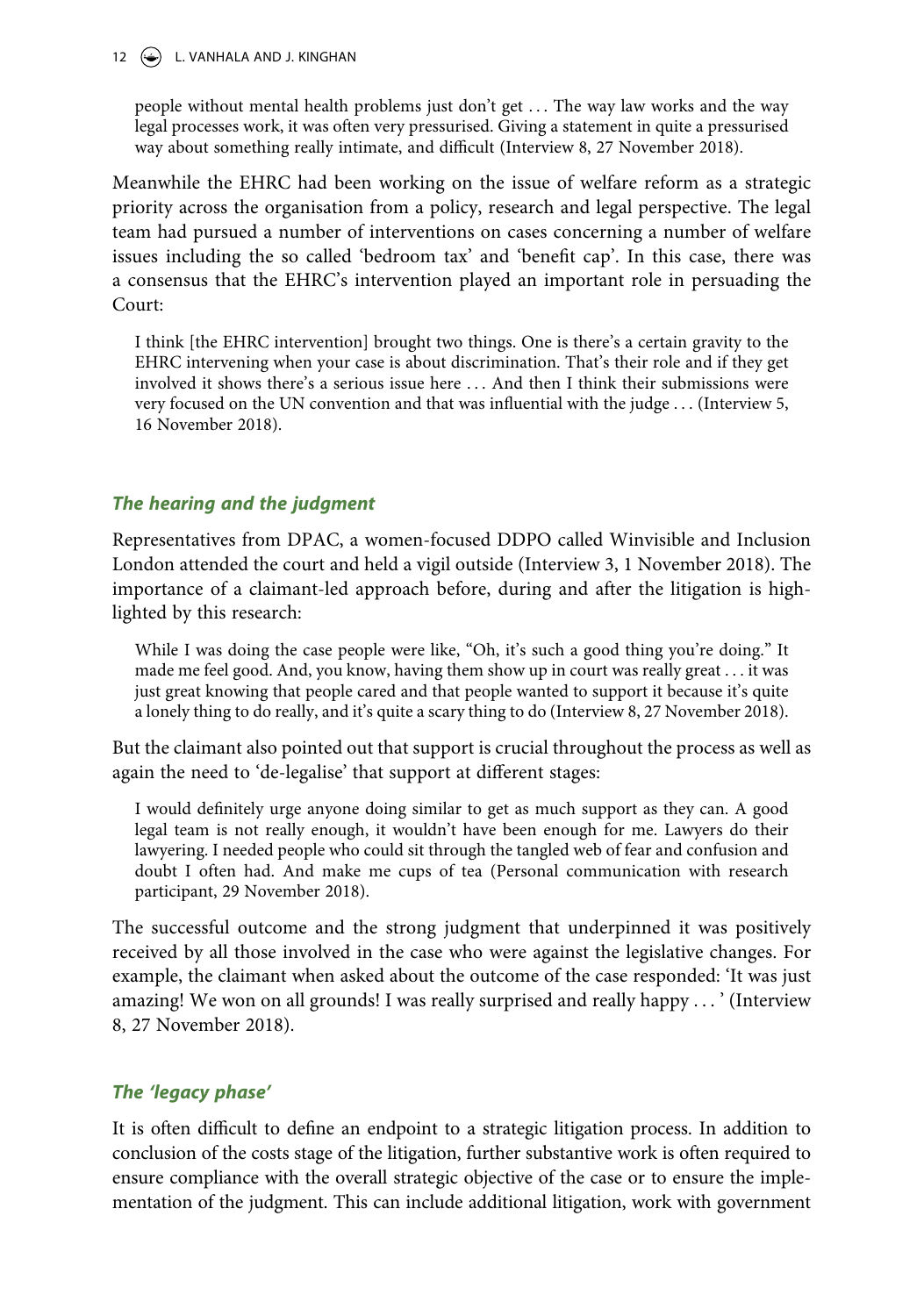## 12  $\left(\frac{1}{2}\right)$  L. VANHALA AND J. KINGHAN

people without mental health problems just don't get . . . The way law works and the way legal processes work, it was often very pressurised. Giving a statement in quite a pressurised way about something really intimate, and difficult (Interview 8, 27 November 2018).

Meanwhile the EHRC had been working on the issue of welfare reform as a strategic priority across the organisation from a policy, research and legal perspective. The legal team had pursued a number of interventions on cases concerning a number of welfare issues including the so called 'bedroom tax' and 'benefit cap'. In this case, there was a consensus that the EHRC's intervention played an important role in persuading the Court:

I think [the EHRC intervention] brought two things. One is there's a certain gravity to the EHRC intervening when your case is about discrimination. That's their role and if they get involved it shows there's a serious issue here . . . And then I think their submissions were very focused on the UN convention and that was influential with the judge . . . (Interview 5, 16 November 2018).

# *The hearing and the judgment*

Representatives from DPAC, a women-focused DDPO called Winvisible and Inclusion London attended the court and held a vigil outside (Interview 3, 1 November 2018). The importance of a claimant-led approach before, during and after the litigation is highlighted by this research:

While I was doing the case people were like, "Oh, it's such a good thing you're doing." It made me feel good. And, you know, having them show up in court was really great . . . it was just great knowing that people cared and that people wanted to support it because it's quite a lonely thing to do really, and it's quite a scary thing to do (Interview 8, 27 November 2018).

But the claimant also pointed out that support is crucial throughout the process as well as again the need to 'de-legalise' that support at different stages:

I would definitely urge anyone doing similar to get as much support as they can. A good legal team is not really enough, it wouldn't have been enough for me. Lawyers do their lawyering. I needed people who could sit through the tangled web of fear and confusion and doubt I often had. And make me cups of tea (Personal communication with research participant, 29 November 2018).

The successful outcome and the strong judgment that underpinned it was positively received by all those involved in the case who were against the legislative changes. For example, the claimant when asked about the outcome of the case responded: 'It was just amazing! We won on all grounds! I was really surprised and really happy . . . ' (Interview 8, 27 November 2018).

# *The 'legacy phase'*

It is often difficult to define an endpoint to a strategic litigation process. In addition to conclusion of the costs stage of the litigation, further substantive work is often required to ensure compliance with the overall strategic objective of the case or to ensure the implementation of the judgment. This can include additional litigation, work with government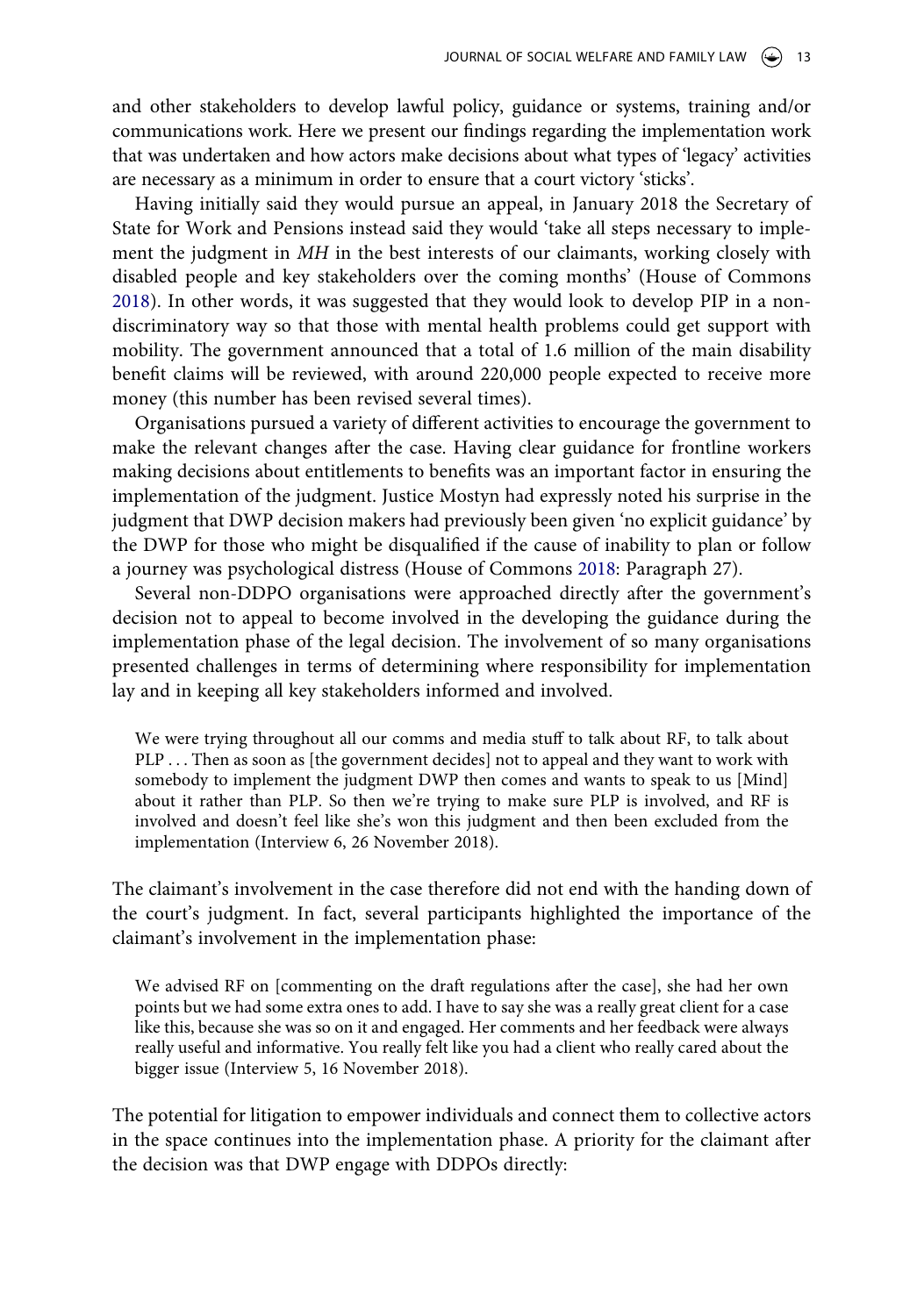and other stakeholders to develop lawful policy, guidance or systems, training and/or communications work. Here we present our findings regarding the implementation work that was undertaken and how actors make decisions about what types of 'legacy' activities are necessary as a minimum in order to ensure that a court victory 'sticks'.

Having initially said they would pursue an appeal, in January 2018 the Secretary of State for Work and Pensions instead said they would 'take all steps necessary to implement the judgment in *MH* in the best interests of our claimants, working closely with disabled people and key stakeholders over the coming months' (House of Commons [2018](#page-19-20)). In other words, it was suggested that they would look to develop PIP in a nondiscriminatory way so that those with mental health problems could get support with mobility. The government announced that a total of 1.6 million of the main disability benefit claims will be reviewed, with around 220,000 people expected to receive more money (this number has been revised several times).

Organisations pursued a variety of different activities to encourage the government to make the relevant changes after the case. Having clear guidance for frontline workers making decisions about entitlements to benefits was an important factor in ensuring the implementation of the judgment. Justice Mostyn had expressly noted his surprise in the judgment that DWP decision makers had previously been given 'no explicit guidance' by the DWP for those who might be disqualified if the cause of inability to plan or follow a journey was psychological distress (House of Commons [2018:](#page-19-20) Paragraph 27).

<span id="page-13-0"></span>Several non-DDPO organisations were approached directly after the government's decision not to appeal to become involved in the developing the guidance during the implementation phase of the legal decision. The involvement of so many organisations presented challenges in terms of determining where responsibility for implementation lay and in keeping all key stakeholders informed and involved.

We were trying throughout all our comms and media stuff to talk about RF, to talk about PLP . . . Then as soon as [the government decides] not to appeal and they want to work with somebody to implement the judgment DWP then comes and wants to speak to us [Mind] about it rather than PLP. So then we're trying to make sure PLP is involved, and RF is involved and doesn't feel like she's won this judgment and then been excluded from the implementation (Interview 6, 26 November 2018).

The claimant's involvement in the case therefore did not end with the handing down of the court's judgment. In fact, several participants highlighted the importance of the claimant's involvement in the implementation phase:

We advised RF on [commenting on the draft regulations after the case], she had her own points but we had some extra ones to add. I have to say she was a really great client for a case like this, because she was so on it and engaged. Her comments and her feedback were always really useful and informative. You really felt like you had a client who really cared about the bigger issue (Interview 5, 16 November 2018).

The potential for litigation to empower individuals and connect them to collective actors in the space continues into the implementation phase. A priority for the claimant after the decision was that DWP engage with DDPOs directly: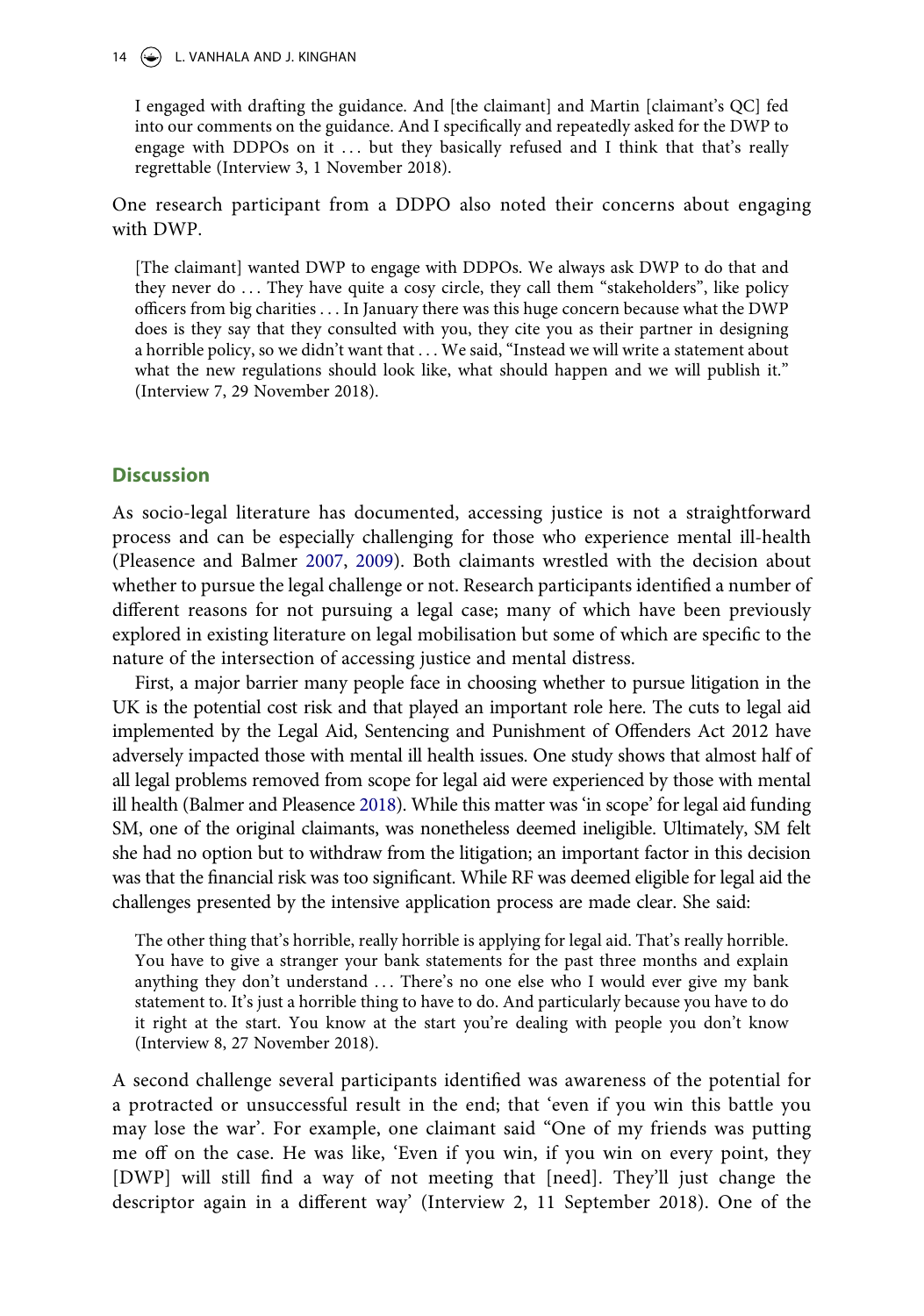## $14 \quad (*)$  L. VANHALA AND J. KINGHAN

I engaged with drafting the guidance. And [the claimant] and Martin [claimant's QC] fed into our comments on the guidance. And I specifically and repeatedly asked for the DWP to engage with DDPOs on it  $\ldots$  but they basically refused and I think that that's really regrettable (Interview 3, 1 November 2018).

One research participant from a DDPO also noted their concerns about engaging with DWP.

[The claimant] wanted DWP to engage with DDPOs. We always ask DWP to do that and they never do  $\ldots$  They have quite a cosy circle, they call them "stakeholders", like policy officers from big charities . . . In January there was this huge concern because what the DWP does is they say that they consulted with you, they cite you as their partner in designing a horrible policy, so we didn't want that . . . We said, "Instead we will write a statement about what the new regulations should look like, what should happen and we will publish it." (Interview 7, 29 November 2018).

## **Discussion**

<span id="page-14-1"></span>As socio-legal literature has documented, accessing justice is not a straightforward process and can be especially challenging for those who experience mental ill-health (Pleasence and Balmer [2007](#page-19-21), [2009](#page-20-10)). Both claimants wrestled with the decision about whether to pursue the legal challenge or not. Research participants identified a number of different reasons for not pursuing a legal case; many of which have been previously explored in existing literature on legal mobilisation but some of which are specific to the nature of the intersection of accessing justice and mental distress.

<span id="page-14-0"></span>First, a major barrier many people face in choosing whether to pursue litigation in the UK is the potential cost risk and that played an important role here. The cuts to legal aid implemented by the Legal Aid, Sentencing and Punishment of Offenders Act 2012 have adversely impacted those with mental ill health issues. One study shows that almost half of all legal problems removed from scope for legal aid were experienced by those with mental ill health (Balmer and Pleasence [2018\)](#page-18-17). While this matter was 'in scope' for legal aid funding SM, one of the original claimants, was nonetheless deemed ineligible. Ultimately, SM felt she had no option but to withdraw from the litigation; an important factor in this decision was that the financial risk was too significant. While RF was deemed eligible for legal aid the challenges presented by the intensive application process are made clear. She said:

The other thing that's horrible, really horrible is applying for legal aid. That's really horrible. You have to give a stranger your bank statements for the past three months and explain anything they don't understand . . . There's no one else who I would ever give my bank statement to. It's just a horrible thing to have to do. And particularly because you have to do it right at the start. You know at the start you're dealing with people you don't know (Interview 8, 27 November 2018).

A second challenge several participants identified was awareness of the potential for a protracted or unsuccessful result in the end; that 'even if you win this battle you may lose the war'. For example, one claimant said "One of my friends was putting me off on the case. He was like, 'Even if you win, if you win on every point, they [DWP] will still find a way of not meeting that [need]. They'll just change the descriptor again in a different way' (Interview 2, 11 September 2018). One of the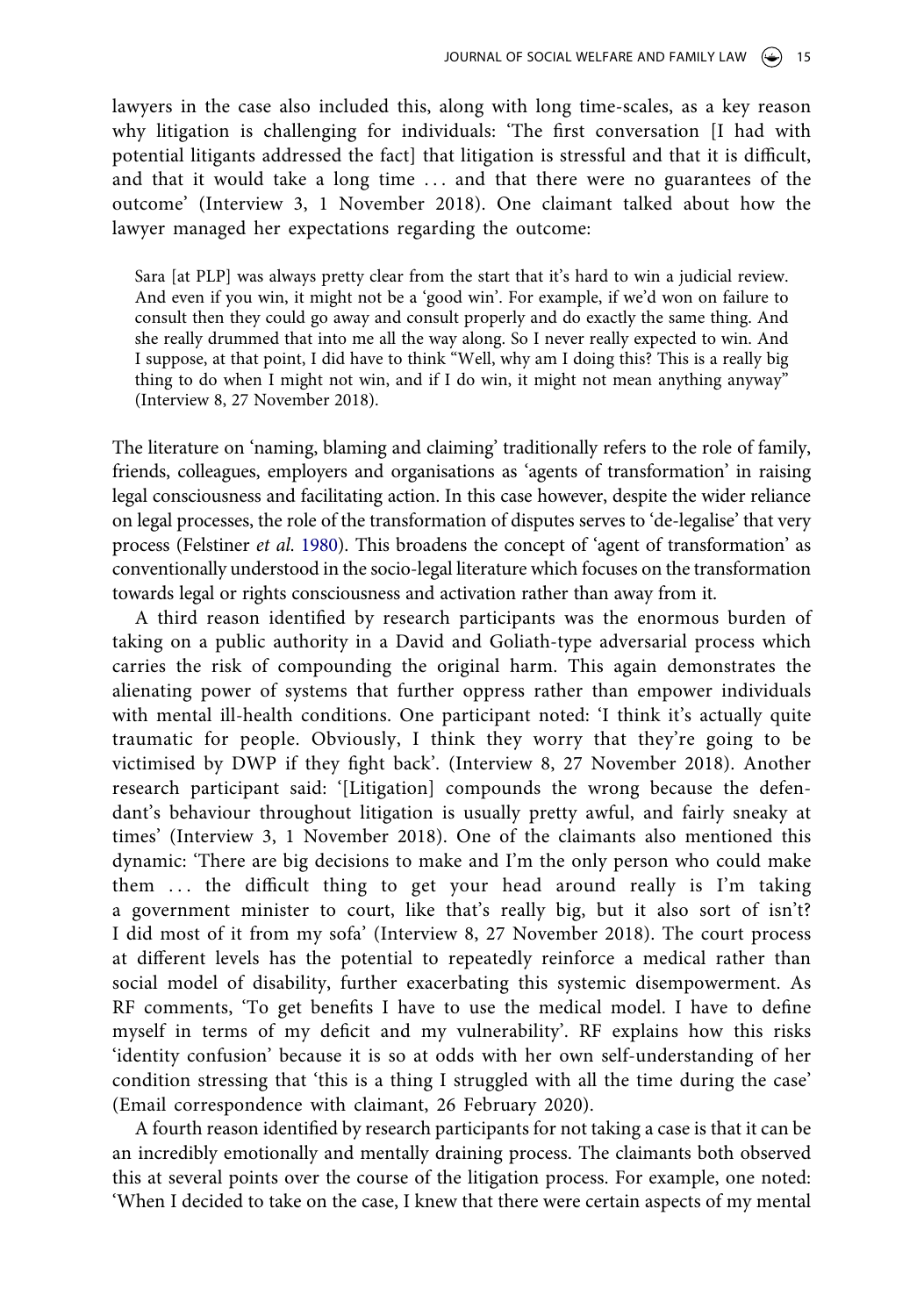lawyers in the case also included this, along with long time-scales, as a key reason why litigation is challenging for individuals: 'The first conversation [I had with potential litigants addressed the fact] that litigation is stressful and that it is difficult, and that it would take a long time ... and that there were no guarantees of the outcome' (Interview 3, 1 November 2018). One claimant talked about how the lawyer managed her expectations regarding the outcome:

Sara [at PLP] was always pretty clear from the start that it's hard to win a judicial review. And even if you win, it might not be a 'good win'. For example, if we'd won on failure to consult then they could go away and consult properly and do exactly the same thing. And she really drummed that into me all the way along. So I never really expected to win. And I suppose, at that point, I did have to think "Well, why am I doing this? This is a really big thing to do when I might not win, and if I do win, it might not mean anything anyway" (Interview 8, 27 November 2018).

The literature on 'naming, blaming and claiming' traditionally refers to the role of family, friends, colleagues, employers and organisations as 'agents of transformation' in raising legal consciousness and facilitating action. In this case however, despite the wider reliance on legal processes, the role of the transformation of disputes serves to 'de-legalise' that very process (Felstiner *et al*. [1980](#page-19-2)). This broadens the concept of 'agent of transformation' as conventionally understood in the socio-legal literature which focuses on the transformation towards legal or rights consciousness and activation rather than away from it.

A third reason identified by research participants was the enormous burden of taking on a public authority in a David and Goliath-type adversarial process which carries the risk of compounding the original harm. This again demonstrates the alienating power of systems that further oppress rather than empower individuals with mental ill-health conditions. One participant noted: 'I think it's actually quite traumatic for people. Obviously, I think they worry that they're going to be victimised by DWP if they fight back'. (Interview 8, 27 November 2018). Another research participant said: '[Litigation] compounds the wrong because the defendant's behaviour throughout litigation is usually pretty awful, and fairly sneaky at times' (Interview 3, 1 November 2018). One of the claimants also mentioned this dynamic: 'There are big decisions to make and I'm the only person who could make them ... the difficult thing to get your head around really is I'm taking a government minister to court, like that's really big, but it also sort of isn't? I did most of it from my sofa' (Interview 8, 27 November 2018). The court process at different levels has the potential to repeatedly reinforce a medical rather than social model of disability, further exacerbating this systemic disempowerment. As RF comments, 'To get benefits I have to use the medical model. I have to define myself in terms of my deficit and my vulnerability'. RF explains how this risks 'identity confusion' because it is so at odds with her own self-understanding of her condition stressing that 'this is a thing I struggled with all the time during the case' (Email correspondence with claimant, 26 February 2020).

A fourth reason identified by research participants for not taking a case is that it can be an incredibly emotionally and mentally draining process. The claimants both observed this at several points over the course of the litigation process. For example, one noted: 'When I decided to take on the case, I knew that there were certain aspects of my mental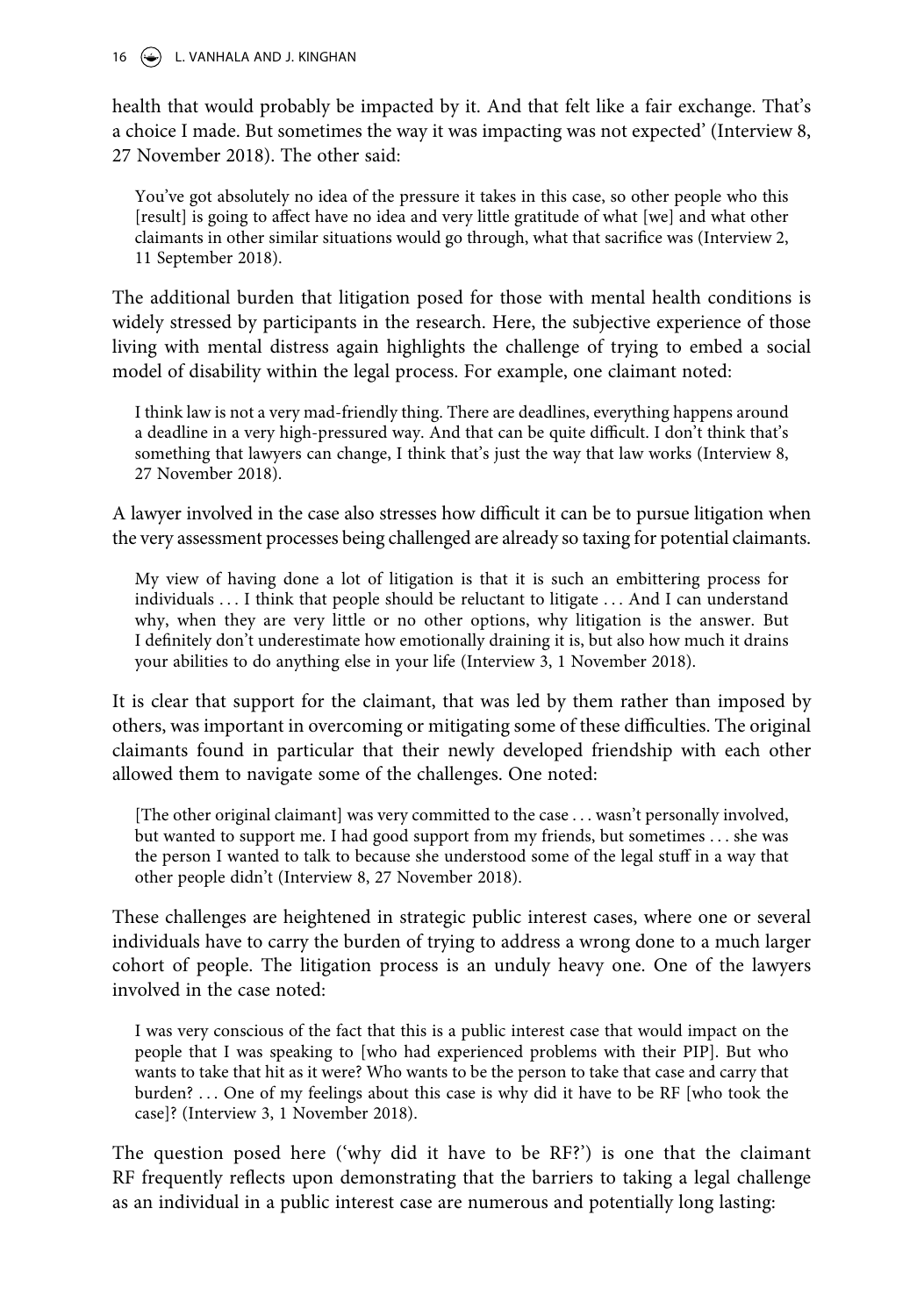$16 \quad (*)$  L. VANHALA AND J. KINGHAN

health that would probably be impacted by it. And that felt like a fair exchange. That's a choice I made. But sometimes the way it was impacting was not expected' (Interview 8, 27 November 2018). The other said:

You've got absolutely no idea of the pressure it takes in this case, so other people who this [result] is going to affect have no idea and very little gratitude of what [we] and what other claimants in other similar situations would go through, what that sacrifice was (Interview 2, 11 September 2018).

The additional burden that litigation posed for those with mental health conditions is widely stressed by participants in the research. Here, the subjective experience of those living with mental distress again highlights the challenge of trying to embed a social model of disability within the legal process. For example, one claimant noted:

I think law is not a very mad-friendly thing. There are deadlines, everything happens around a deadline in a very high-pressured way. And that can be quite difficult. I don't think that's something that lawyers can change, I think that's just the way that law works (Interview 8, 27 November 2018).

A lawyer involved in the case also stresses how difficult it can be to pursue litigation when the very assessment processes being challenged are already so taxing for potential claimants.

My view of having done a lot of litigation is that it is such an embittering process for individuals . . . I think that people should be reluctant to litigate . . . And I can understand why, when they are very little or no other options, why litigation is the answer. But I definitely don't underestimate how emotionally draining it is, but also how much it drains your abilities to do anything else in your life (Interview 3, 1 November 2018).

It is clear that support for the claimant, that was led by them rather than imposed by others, was important in overcoming or mitigating some of these difficulties. The original claimants found in particular that their newly developed friendship with each other allowed them to navigate some of the challenges. One noted:

[The other original claimant] was very committed to the case . . . wasn't personally involved, but wanted to support me. I had good support from my friends, but sometimes . . . she was the person I wanted to talk to because she understood some of the legal stuff in a way that other people didn't (Interview 8, 27 November 2018).

These challenges are heightened in strategic public interest cases, where one or several individuals have to carry the burden of trying to address a wrong done to a much larger cohort of people. The litigation process is an unduly heavy one. One of the lawyers involved in the case noted:

I was very conscious of the fact that this is a public interest case that would impact on the people that I was speaking to [who had experienced problems with their PIP]. But who wants to take that hit as it were? Who wants to be the person to take that case and carry that burden? . . . One of my feelings about this case is why did it have to be RF [who took the case]? (Interview 3, 1 November 2018).

The question posed here ('why did it have to be RF?') is one that the claimant RF frequently reflects upon demonstrating that the barriers to taking a legal challenge as an individual in a public interest case are numerous and potentially long lasting: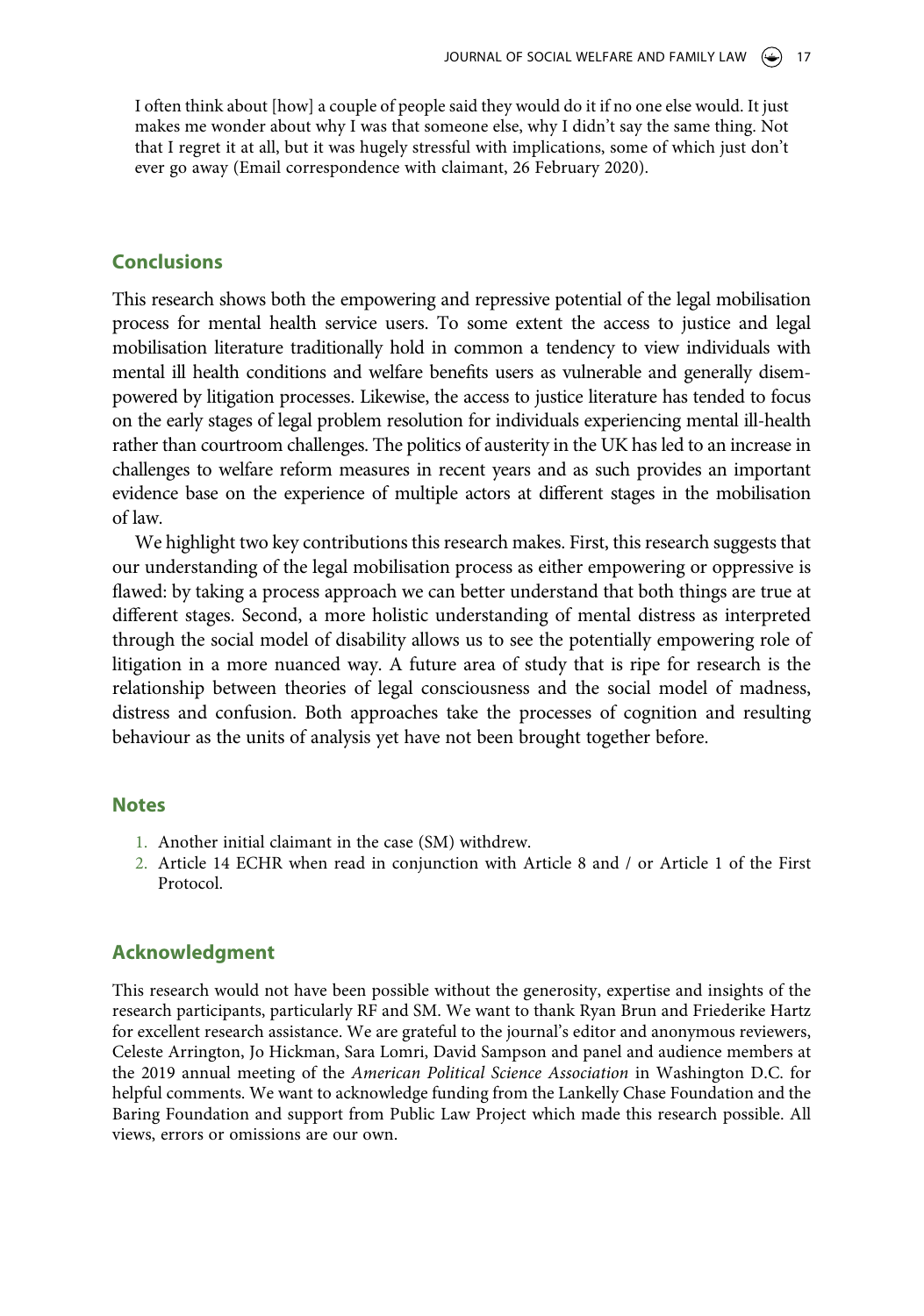I often think about [how] a couple of people said they would do it if no one else would. It just makes me wonder about why I was that someone else, why I didn't say the same thing. Not that I regret it at all, but it was hugely stressful with implications, some of which just don't ever go away (Email correspondence with claimant, 26 February 2020).

## **Conclusions**

This research shows both the empowering and repressive potential of the legal mobilisation process for mental health service users. To some extent the access to justice and legal mobilisation literature traditionally hold in common a tendency to view individuals with mental ill health conditions and welfare benefits users as vulnerable and generally disempowered by litigation processes. Likewise, the access to justice literature has tended to focus on the early stages of legal problem resolution for individuals experiencing mental ill-health rather than courtroom challenges. The politics of austerity in the UK has led to an increase in challenges to welfare reform measures in recent years and as such provides an important evidence base on the experience of multiple actors at different stages in the mobilisation of law.

We highlight two key contributions this research makes. First, this research suggests that our understanding of the legal mobilisation process as either empowering or oppressive is flawed: by taking a process approach we can better understand that both things are true at different stages. Second, a more holistic understanding of mental distress as interpreted through the social model of disability allows us to see the potentially empowering role of litigation in a more nuanced way. A future area of study that is ripe for research is the relationship between theories of legal consciousness and the social model of madness, distress and confusion. Both approaches take the processes of cognition and resulting behaviour as the units of analysis yet have not been brought together before.

## **Notes**

- <span id="page-17-0"></span>1. Another initial claimant in the case (SM) withdrew.
- <span id="page-17-1"></span>2. Article 14 ECHR when read in conjunction with Article 8 and / or Article 1 of the First Protocol.

## **Acknowledgment**

This research would not have been possible without the generosity, expertise and insights of the research participants, particularly RF and SM. We want to thank Ryan Brun and Friederike Hartz for excellent research assistance. We are grateful to the journal's editor and anonymous reviewers, Celeste Arrington, Jo Hickman, Sara Lomri, David Sampson and panel and audience members at the 2019 annual meeting of the *American Political Science Association* in Washington D.C. for helpful comments. We want to acknowledge funding from the Lankelly Chase Foundation and the Baring Foundation and support from Public Law Project which made this research possible. All views, errors or omissions are our own.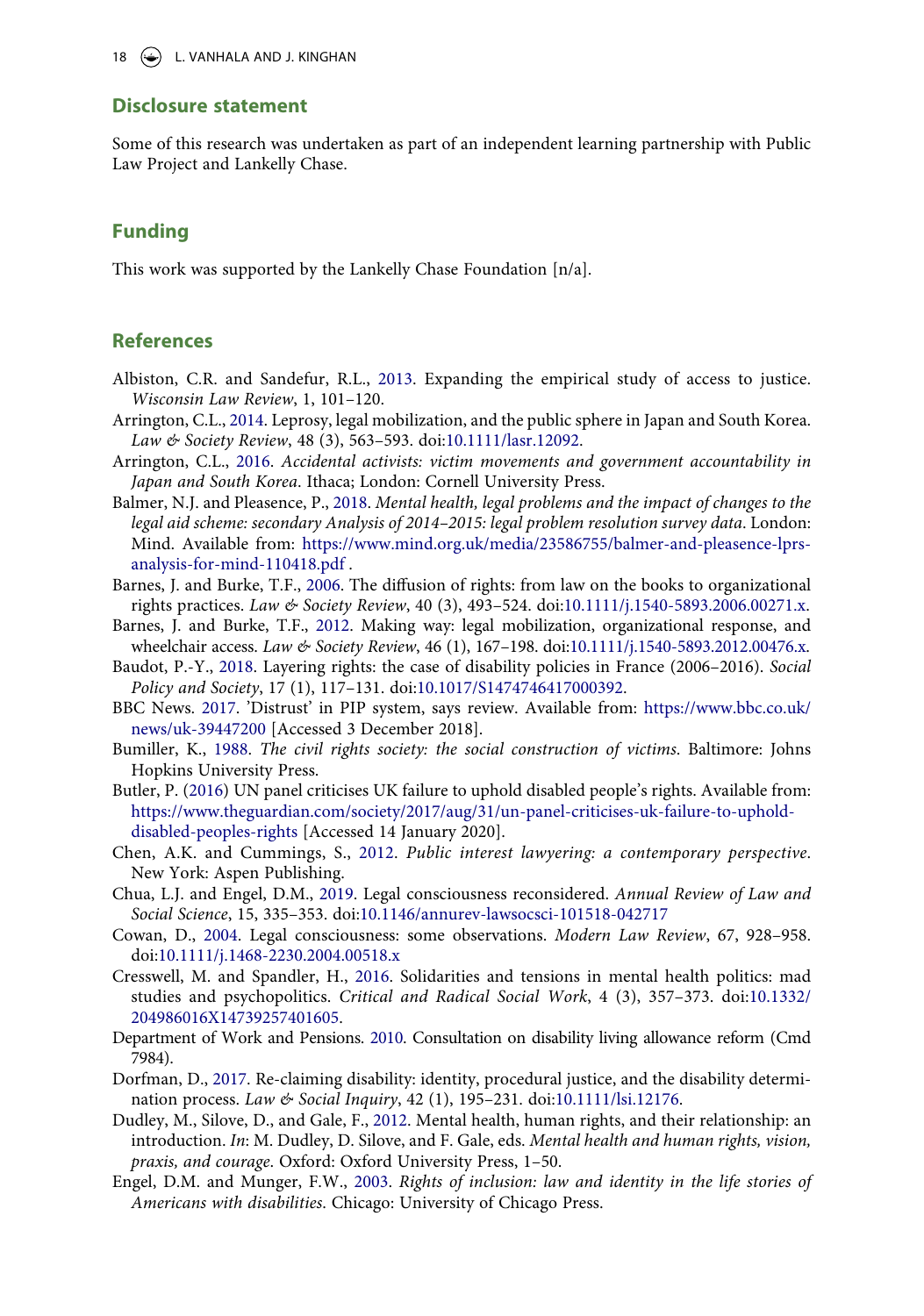## **Disclosure statement**

Some of this research was undertaken as part of an independent learning partnership with Public Law Project and Lankelly Chase.

## **Funding**

This work was supported by the Lankelly Chase Foundation [n/a].

# **References**

- <span id="page-18-0"></span>Albiston, C.R. and Sandefur, R.L., [2013](#page-1-1). Expanding the empirical study of access to justice. *Wisconsin Law Review*, 1, 101–120.
- <span id="page-18-6"></span>Arrington, C.L., [2014.](#page-4-0) Leprosy, legal mobilization, and the public sphere in Japan and South Korea. *Law & Society Review*, 48 (3), 563–593. doi:[10.1111/lasr.12092](https://doi.org/10.1111/lasr.12092).
- <span id="page-18-10"></span>Arrington, C.L., [2016](#page-4-1). *Accidental activists: victim movements and government accountability in Japan and South Korea*. Ithaca; London: Cornell University Press.
- <span id="page-18-17"></span>Balmer, N.J. and Pleasence, P., [2018](#page-14-0). *Mental health, legal problems and the impact of changes to the legal aid scheme: secondary Analysis of 2014–2015: legal problem resolution survey data*. London: Mind. Available from: [https://www.mind.org.uk/media/23586755/balmer-and-pleasence-lprs](https://www.mind.org.uk/media/23586755/balmer-and-pleasence-lprs-analysis-for-mind-110418.pdf)[analysis-for-mind-110418.pdf](https://www.mind.org.uk/media/23586755/balmer-and-pleasence-lprs-analysis-for-mind-110418.pdf) .
- <span id="page-18-8"></span>Barnes, J. and Burke, T.F., [2006.](#page-4-2) The diffusion of rights: from law on the books to organizational rights practices. *Law & Society Review*, 40 (3), 493–524. doi:[10.1111/j.1540-5893.2006.00271.x](https://doi.org/10.1111/j.1540-5893.2006.00271.x).
- <span id="page-18-5"></span>Barnes, J. and Burke, T.F., [2012.](#page-4-0) Making way: legal mobilization, organizational response, and wheelchair access. *Law & Society Review*, 46 (1), 167–198. doi:[10.1111/j.1540-5893.2012.00476.x](https://doi.org/10.1111/j.1540-5893.2012.00476.x).
- <span id="page-18-9"></span>Baudot, P.-Y., [2018](#page-4-3). Layering rights: the case of disability policies in France (2006–2016). *Social Policy and Society*, 17 (1), 117–131. doi:[10.1017/S1474746417000392.](https://doi.org/10.1017/S1474746417000392)
- <span id="page-18-15"></span>BBC News. [2017.](#page-7-0) 'Distrust' in PIP system, says review. Available from: [https://www.bbc.co.uk/](https://www.bbc.co.uk/news/uk-39447200) [news/uk-39447200](https://www.bbc.co.uk/news/uk-39447200) [Accessed 3 December 2018].
- <span id="page-18-4"></span>Bumiller, K., [1988](#page-2-0). *The civil rights society: the social construction of victims*. Baltimore: Johns Hopkins University Press.
- <span id="page-18-16"></span>Butler, P. ([2016](#page-8-0)) UN panel criticises UK failure to uphold disabled people's rights. Available from: [https://www.theguardian.com/society/2017/aug/31/un-panel-criticises-uk-failure-to-uphold](https://www.theguardian.com/society/2017/aug/31/un-panel-criticises-uk-failure-to-uphold-disabled-peoples-rights)[disabled-peoples-rights](https://www.theguardian.com/society/2017/aug/31/un-panel-criticises-uk-failure-to-uphold-disabled-peoples-rights) [Accessed 14 January 2020].
- <span id="page-18-13"></span>Chen, A.K. and Cummings, S., [2012.](#page-6-0) *Public interest lawyering: a contemporary perspective*. New York: Aspen Publishing.
- <span id="page-18-2"></span>Chua, L.J. and Engel, D.M., [2019.](#page-2-1) Legal consciousness reconsidered. *Annual Review of Law and Social Science*, 15, 335–353. doi:[10.1146/annurev-lawsocsci-101518-042717](https://doi.org/10.1146/annurev-lawsocsci-101518-042717)
- <span id="page-18-3"></span>Cowan, D., [2004.](#page-2-2) Legal consciousness: some observations. *Modern Law Review*, 67, 928–958. doi:[10.1111/j.1468-2230.2004.00518.x](https://doi.org/10.1111/j.1468-2230.2004.00518.x)
- <span id="page-18-11"></span>Cresswell, M. and Spandler, H., [2016.](#page-5-0) Solidarities and tensions in mental health politics: mad studies and psychopolitics. *Critical and Radical Social Work*, 4 (3), 357–373. doi:[10.1332/](https://doi.org/10.1332/204986016X14739257401605) [204986016X14739257401605](https://doi.org/10.1332/204986016X14739257401605).
- <span id="page-18-14"></span>Department of Work and Pensions. [2010](#page-7-1). Consultation on disability living allowance reform (Cmd 7984).
- <span id="page-18-7"></span>Dorfman, D., [2017.](#page-4-4) Re-claiming disability: identity, procedural justice, and the disability determination process. *Law & Social Inquiry*, 42 (1), 195–231. doi:[10.1111/lsi.12176.](https://doi.org/10.1111/lsi.12176)
- <span id="page-18-12"></span>Dudley, M., Silove, D., and Gale, F., [2012.](#page-5-1) Mental health, human rights, and their relationship: an introduction. *In*: M. Dudley, D. Silove, and F. Gale, eds. *Mental health and human rights, vision, praxis, and courage*. Oxford: Oxford University Press, 1–50.
- <span id="page-18-1"></span>Engel, D.M. and Munger, F.W., [2003](#page-2-3). *Rights of inclusion: law and identity in the life stories of Americans with disabilities*. Chicago: University of Chicago Press.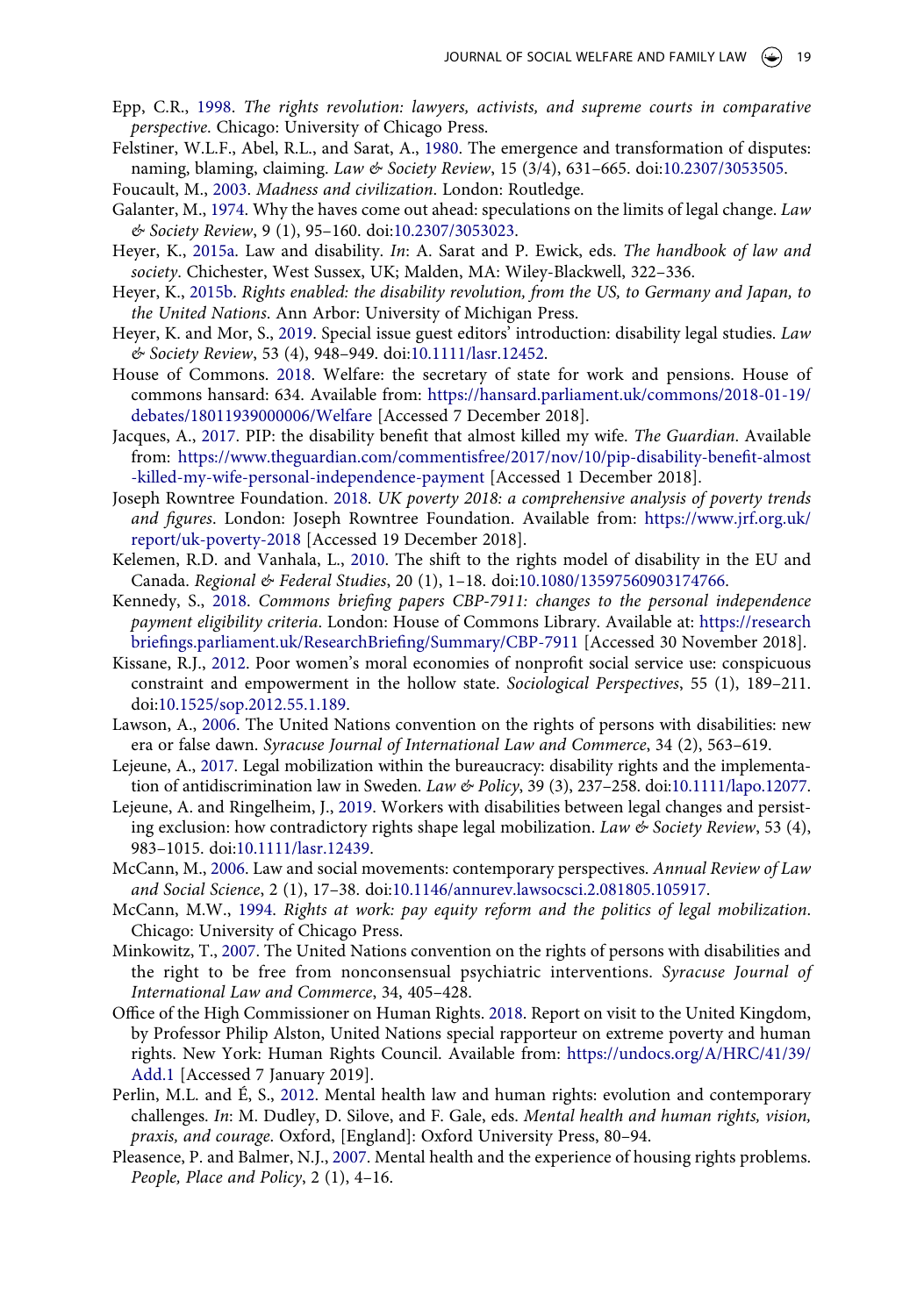- <span id="page-19-0"></span>Epp, C.R., [1998.](#page-1-2) *The rights revolution: lawyers, activists, and supreme courts in comparative perspective*. Chicago: University of Chicago Press.
- <span id="page-19-2"></span>Felstiner, W.L.F., Abel, R.L., and Sarat, A., [1980.](#page-2-4) The emergence and transformation of disputes: naming, blaming, claiming. *Law & Society Review*, 15 (3/4), 631–665. doi:[10.2307/3053505.](https://doi.org/10.2307/3053505)
- <span id="page-19-13"></span>Foucault, M., [2003.](#page-5-2) *Madness and civilization*. London: Routledge.
- <span id="page-19-16"></span>Galanter, M., [1974.](#page-6-1) Why the haves come out ahead: speculations on the limits of legal change. *Law & Society Review*, 9 (1), 95–160. doi:[10.2307/3053023.](https://doi.org/10.2307/3053023)
- <span id="page-19-7"></span>Heyer, K., [2015a](#page-4-0). Law and disability. *In*: A. Sarat and P. Ewick, eds. *The handbook of law and society*. Chichester, West Sussex, UK; Malden, MA: Wiley-Blackwell, 322–336.
- <span id="page-19-10"></span>Heyer, K., [2015b](#page-4-3). *Rights enabled: the disability revolution, from the US, to Germany and Japan, to the United Nations*. Ann Arbor: University of Michigan Press.
- <span id="page-19-5"></span>Heyer, K. and Mor, S., [2019](#page-3-0). Special issue guest editors' introduction: disability legal studies. *Law & Society Review*, 53 (4), 948–949. doi:[10.1111/lasr.12452.](https://doi.org/10.1111/lasr.12452)
- <span id="page-19-20"></span>House of Commons. [2018](#page-13-0). Welfare: the secretary of state for work and pensions. House of commons hansard: 634. Available from: [https://hansard.parliament.uk/commons/2018-01-19/](https://hansard.parliament.uk/commons/2018-01-19/debates/18011939000006/Welfare) [debates/18011939000006/Welfare](https://hansard.parliament.uk/commons/2018-01-19/debates/18011939000006/Welfare) [Accessed 7 December 2018].
- <span id="page-19-17"></span>Jacques, A., [2017.](#page-7-2) PIP: the disability benefit that almost killed my wife. *The Guardian*. Available from: [https://www.theguardian.com/commentisfree/2017/nov/10/pip-disability-benefit-almost](https://www.theguardian.com/commentisfree/2017/nov/10/pip-disability-benefit-almost-killed-my-wife-personal-independence-payment) [-killed-my-wife-personal-independence-payment](https://www.theguardian.com/commentisfree/2017/nov/10/pip-disability-benefit-almost-killed-my-wife-personal-independence-payment) [Accessed 1 December 2018].
- <span id="page-19-18"></span>Joseph Rowntree Foundation. [2018](#page-8-0). *UK poverty 2018: a comprehensive analysis of poverty trends and figures*. London: Joseph Rowntree Foundation. Available from: [https://www.jrf.org.uk/](https://www.jrf.org.uk/report/uk-poverty-2018) [report/uk-poverty-2018](https://www.jrf.org.uk/report/uk-poverty-2018) [Accessed 19 December 2018].
- <span id="page-19-9"></span>Kelemen, R.D. and Vanhala, L., [2010.](#page-4-3) The shift to the rights model of disability in the EU and Canada. *Regional & Federal Studies*, 20 (1), 1–18. doi:[10.1080/13597560903174766](https://doi.org/10.1080/13597560903174766).
- <span id="page-19-4"></span>Kennedy, S., [2018.](#page-3-1) *Commons briefing papers CBP-7911: changes to the personal independence payment eligibility criteria*. London: House of Commons Library. Available at: [https://research](https://researchbriefings.parliament.uk/ResearchBriefing/Summary/CBP-7911) [briefings.parliament.uk/ResearchBriefing/Summary/CBP-7911](https://researchbriefings.parliament.uk/ResearchBriefing/Summary/CBP-7911) [Accessed 30 November 2018].
- <span id="page-19-3"></span>Kissane, R.J., [2012](#page-2-0). Poor women's moral economies of nonprofit social service use: conspicuous constraint and empowerment in the hollow state. *Sociological Perspectives*, 55 (1), 189–211. doi:[10.1525/sop.2012.55.1.189.](https://doi.org/10.1525/sop.2012.55.1.189)
- <span id="page-19-8"></span>Lawson, A., [2006](#page-4-5). The United Nations convention on the rights of persons with disabilities: new era or false dawn. *Syracuse Journal of International Law and Commerce*, 34 (2), 563–619.
- <span id="page-19-12"></span>Lejeune, A., [2017.](#page-4-1) Legal mobilization within the bureaucracy: disability rights and the implementation of antidiscrimination law in Sweden. *Law & Policy*, 39 (3), 237–258. doi:[10.1111/lapo.12077](https://doi.org/10.1111/lapo.12077).
- <span id="page-19-11"></span>Lejeune, A. and Ringelheim, J., [2019.](#page-4-3) Workers with disabilities between legal changes and persisting exclusion: how contradictory rights shape legal mobilization. *Law & Society Review*, 53 (4), 983–1015. doi:[10.1111/lasr.12439](https://doi.org/10.1111/lasr.12439).
- <span id="page-19-6"></span>McCann, M., [2006.](#page-3-2) Law and social movements: contemporary perspectives. *Annual Review of Law and Social Science*, 2 (1), 17–38. doi:[10.1146/annurev.lawsocsci.2.081805.105917](https://doi.org/10.1146/annurev.lawsocsci.2.081805.105917).
- <span id="page-19-1"></span>McCann, M.W., [1994](#page-1-3). *Rights at work: pay equity reform and the politics of legal mobilization*. Chicago: University of Chicago Press.
- <span id="page-19-15"></span>Minkowitz, T., [2007.](#page-6-2) The United Nations convention on the rights of persons with disabilities and the right to be free from nonconsensual psychiatric interventions. *Syracuse Journal of International Law and Commerce*, 34, 405–428.
- <span id="page-19-19"></span>Office of the High Commissioner on Human Rights. [2018](#page-8-1). Report on visit to the United Kingdom, by Professor Philip Alston, United Nations special rapporteur on extreme poverty and human rights. New York: Human Rights Council. Available from: [https://undocs.org/A/HRC/41/39/](https://undocs.org/A/HRC/41/39/Add.1) [Add.1](https://undocs.org/A/HRC/41/39/Add.1) [Accessed 7 January 2019].
- <span id="page-19-14"></span>Perlin, M.L. and É, S., [2012](#page-6-3). Mental health law and human rights: evolution and contemporary challenges. *In*: M. Dudley, D. Silove, and F. Gale, eds. *Mental health and human rights, vision, praxis, and courage*. Oxford, [England]: Oxford University Press, 80–94.
- <span id="page-19-21"></span>Pleasence, P. and Balmer, N.J., [2007.](#page-14-1) Mental health and the experience of housing rights problems. *People, Place and Policy*, 2 (1), 4–16.